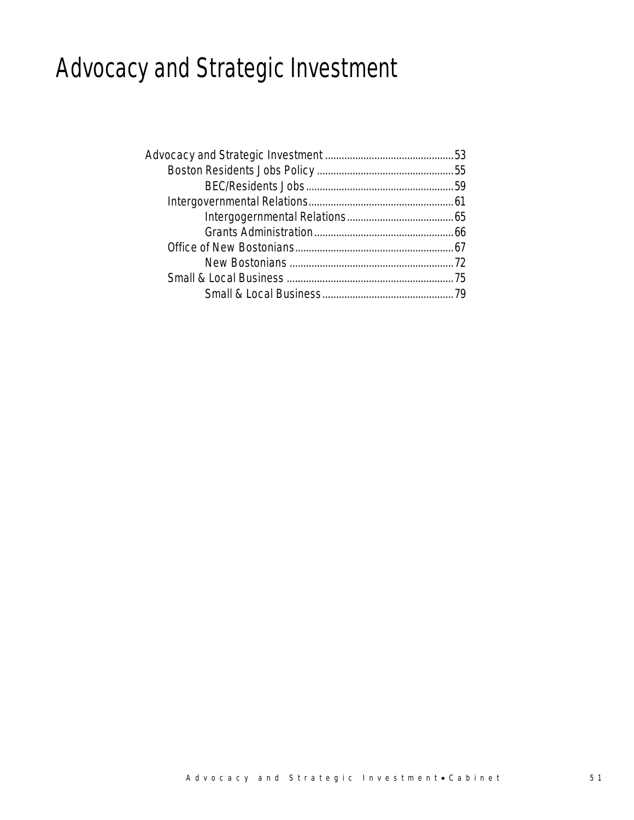# Advocacy and Strategic Investment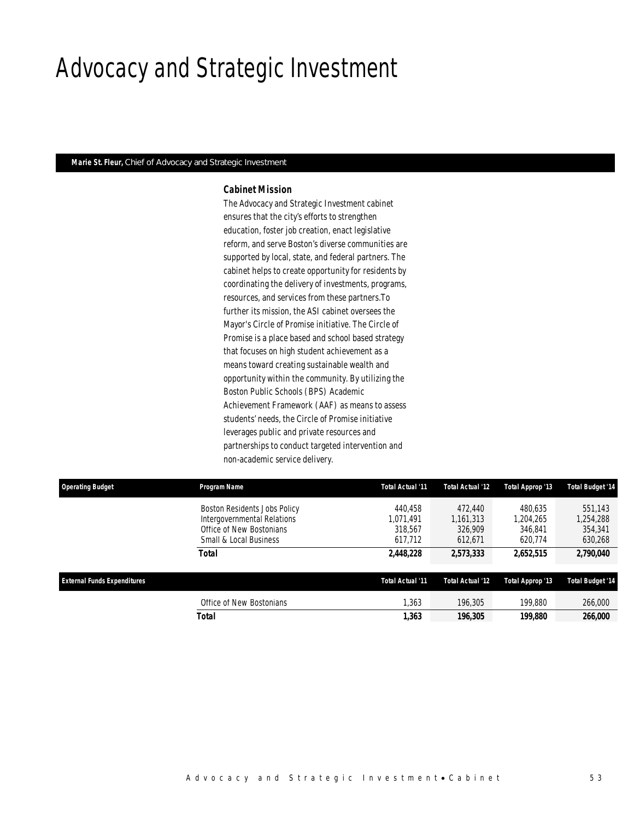## Advocacy and Strategic Investment

### *Marie St. Fleur, Chief of Advocacy and Strategic Investment*

### *Cabinet Mission*

The Advocacy and Strategic Investment cabinet ensures that the city's efforts to strengthen education, foster job creation, enact legislative reform, and serve Boston's diverse communities are supported by local, state, and federal partners. The cabinet helps to create opportunity for residents by coordinating the delivery of investments, programs, resources, and services from these partners.To further its mission, the ASI cabinet oversees the Mayor's Circle of Promise initiative. The Circle of Promise is a place based and school based strategy that focuses on high student achievement as a means toward creating sustainable wealth and opportunity within the community. By utilizing the Boston Public Schools (BPS) Academic Achievement Framework (AAF) as means to assess students' needs, the Circle of Promise initiative leverages public and private resources and partnerships to conduct targeted intervention and non-academic service delivery.

| <b>Operating Budget</b>            | Program Name                 | Total Actual '11 | Total Actual '12 | Total Approp '13 | <b>Total Budget '14</b> |
|------------------------------------|------------------------------|------------------|------------------|------------------|-------------------------|
|                                    | Boston Residents Jobs Policy | 440.458          | 472,440          | 480.635          | 551,143                 |
|                                    | Intergovernmental Relations  | 1.071.491        | 1.161.313        | 1,204,265        | 1,254,288               |
|                                    | Office of New Bostonians     | 318.567          | 326,909          | 346.841          | 354,341                 |
|                                    | Small & Local Business       | 617.712          | 612.671          | 620.774          | 630,268                 |
|                                    | Total                        | 2,448,228        | 2,573,333        | 2,652,515        | 2,790,040               |
| <b>External Funds Expenditures</b> |                              | Total Actual '11 | Total Actual '12 | Total Approp '13 | <b>Total Budget '14</b> |
|                                    | Office of New Bostonians     | 1,363            | 196,305          | 199.880          | 266,000                 |
|                                    | Total                        | 1,363            | 196,305          | 199.880          | 266,000                 |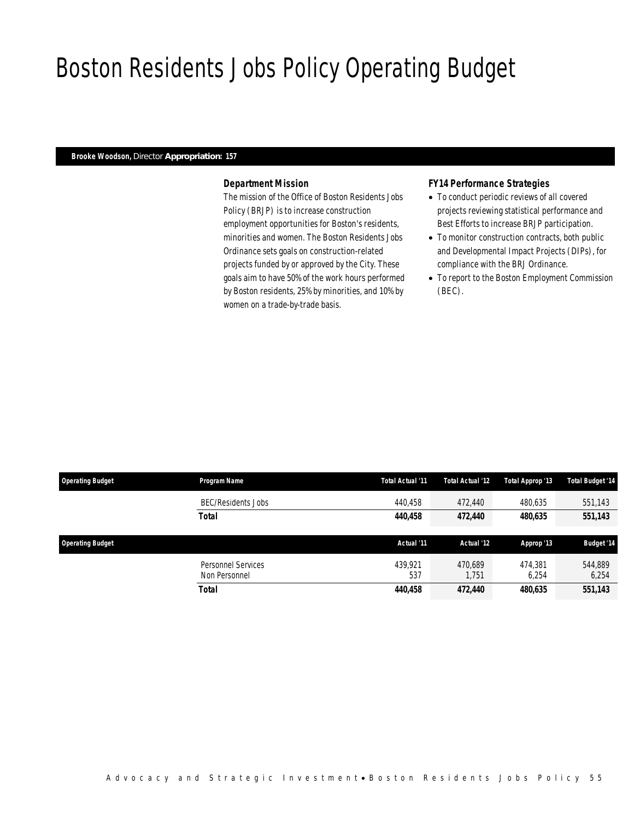## Boston Residents Jobs Policy Operating Budget

### *Brooke Woodson, Director Appropriation: 157*

## *Department Mission*

The mission of the Office of Boston Residents Jobs Policy (BRJP) is to increase construction employment opportunities for Boston's residents, minorities and women. The Boston Residents Jobs Ordinance sets goals on construction-related projects funded by or approved by the City. These goals aim to have 50% of the work hours performed by Boston residents, 25% by minorities, and 10% by women on a trade-by-trade basis.

### *FY14 Performance Strategies*

- To conduct periodic reviews of all covered projects reviewing statistical performance and Best Efforts to increase BRJP participation.
- To monitor construction contracts, both public and Developmental Impact Projects (DIPs), for compliance with the BRJ Ordinance.
- To report to the Boston Employment Commission (BEC).

| <b>Operating Budget</b> | Program Name              | Total Actual '11 | Total Actual '12 | Total Approp '13 | <b>Total Budget '14</b> |
|-------------------------|---------------------------|------------------|------------------|------------------|-------------------------|
|                         | <b>BEC/Residents Jobs</b> | 440.458          | 472,440          | 480.635          | 551,143                 |
|                         | <b>Total</b>              | 440,458          | 472,440          | 480,635          | 551,143                 |
|                         |                           |                  |                  |                  |                         |
| <b>Operating Budget</b> |                           | Actual '11       | Actual '12       | Approp '13       | <b>Budget '14</b>       |
|                         |                           |                  |                  |                  |                         |
|                         | Personnel Services        | 439.921          | 470.689          | 474.381          | 544,889                 |
|                         | Non Personnel             | 537              | 1.751            | 6.254            | 6,254                   |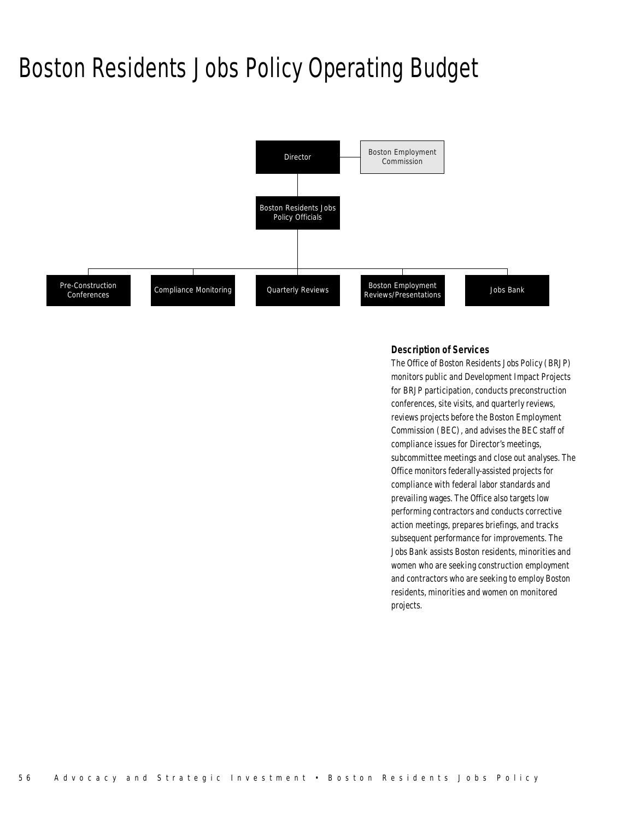# Boston Residents Jobs Policy Operating Budget



#### *Description of Services*

The Office of Boston Residents Jobs Policy (BRJP) monitors public and Development Impact Projects for BRJP participation, conducts preconstruction conferences, site visits, and quarterly reviews, reviews projects before the Boston Employment Commission (BEC), and advises the BEC staff of compliance issues for Director's meetings, subcommittee meetings and close out analyses. The Office monitors federally-assisted projects for compliance with federal labor standards and prevailing wages. The Office also targets low performing contractors and conducts corrective action meetings, prepares briefings, and tracks subsequent performance for improvements. The Jobs Bank assists Boston residents, minorities and women who are seeking construction employment and contractors who are seeking to employ Boston residents, minorities and women on monitored projects.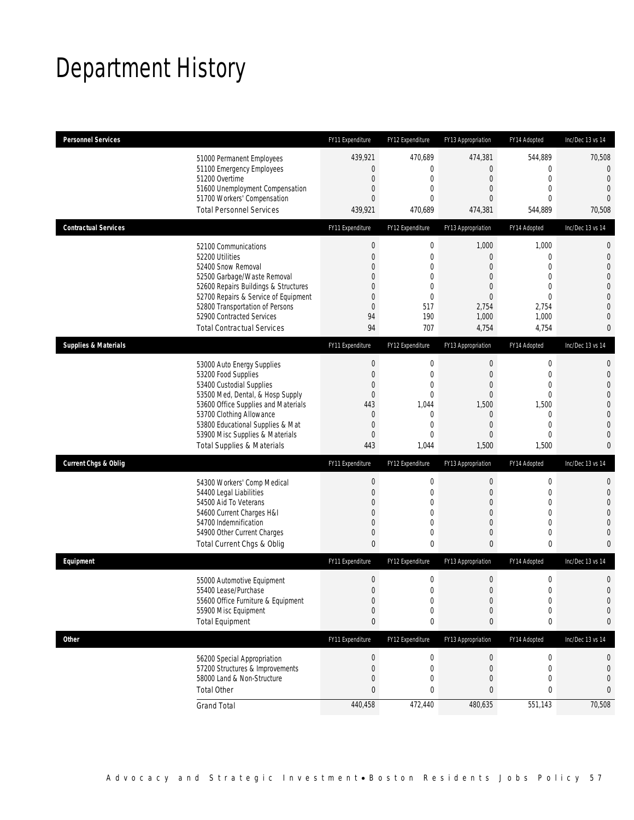# Department History

| <b>Personnel Services</b>       |                                                                 | FY11 Expenditure              | FY12 Expenditure         | FY13 Appropriation  | FY14 Adopted                 | Inc/Dec 13 vs 14                 |
|---------------------------------|-----------------------------------------------------------------|-------------------------------|--------------------------|---------------------|------------------------------|----------------------------------|
|                                 | 51000 Permanent Employees                                       | 439,921                       | 470,689                  | 474,381             | 544,889                      | 70,508                           |
|                                 | 51100 Emergency Employees                                       | 0                             | 0                        | $\mathbf 0$         | 0                            | $\mathbf 0$                      |
|                                 | 51200 Overtime                                                  | $\mathbf 0$                   | 0                        | $\mathbf 0$         | $\mathbf 0$                  | $\mathbf{0}$                     |
|                                 | 51600 Unemployment Compensation<br>51700 Workers' Compensation  | $\mathbf 0$<br>$\overline{0}$ | $\mathbf{0}$<br>$\theta$ | 0<br>$\overline{0}$ | $\mathbf{0}$<br>$\mathbf{0}$ | $\overline{0}$<br>$\overline{0}$ |
|                                 | <b>Total Personnel Services</b>                                 | 439,921                       | 470,689                  | 474,381             | 544,889                      | 70,508                           |
| <b>Contractual Services</b>     |                                                                 | FY11 Expenditure              | FY12 Expenditure         | FY13 Appropriation  | FY14 Adopted                 | Inc/Dec 13 vs 14                 |
|                                 | 52100 Communications                                            | $\boldsymbol{0}$              | $\boldsymbol{0}$         | 1,000               | 1,000                        | $\mathbf 0$                      |
|                                 | 52200 Utilities                                                 | $\overline{0}$                | 0                        | 0                   | $\mathbf{0}$                 | $\mathbf 0$                      |
|                                 | 52400 Snow Removal                                              | $\overline{0}$                | 0                        | $\overline{0}$      | $\mathbf{0}$                 | $\overline{0}$                   |
|                                 | 52500 Garbage/Waste Removal                                     | 0                             | 0                        | 0                   | $\mathbf{0}$                 | $\mathbf{0}$                     |
|                                 | 52600 Repairs Buildings & Structures                            | 0                             | 0                        | 0                   | $\mathbf{0}$                 | $\mathbf 0$                      |
|                                 | 52700 Repairs & Service of Equipment                            | 0                             | $\mathbf 0$              | $\overline{0}$      | $\mathbf{0}$                 | $\overline{0}$                   |
|                                 | 52800 Transportation of Persons                                 | $\overline{0}$                | 517                      | 2,754               | 2,754                        | $\mathbf{0}$                     |
|                                 | 52900 Contracted Services<br><b>Total Contractual Services</b>  | 94<br>94                      | 190<br>707               | 1,000<br>4,754      | 1,000<br>4,754               | $\mathbf 0$<br>0                 |
|                                 |                                                                 |                               |                          |                     |                              |                                  |
| <b>Supplies &amp; Materials</b> |                                                                 | FY11 Expenditure              | FY12 Expenditure         | FY13 Appropriation  | FY14 Adopted                 | Inc/Dec 13 vs 14                 |
|                                 | 53000 Auto Energy Supplies                                      | $\boldsymbol{0}$              | $\boldsymbol{0}$         | $\mathbf 0$         | $\boldsymbol{0}$             | $\mathbf{0}$                     |
|                                 | 53200 Food Supplies                                             | $\boldsymbol{0}$              | 0                        | 0                   | $\mathbf{0}$                 | $\mathbf{0}$                     |
|                                 | 53400 Custodial Supplies                                        | 0                             | 0                        | 0                   | $\mathbf{0}$                 | $\overline{0}$                   |
|                                 | 53500 Med, Dental, & Hosp Supply                                | $\boldsymbol{0}$              | $\mathbf 0$              | $\overline{0}$      | $\mathbf{0}$                 | $\mathbf{0}$                     |
|                                 | 53600 Office Supplies and Materials<br>53700 Clothing Allowance | 443<br>$\theta$               | 1,044<br>0               | 1,500<br>$\theta$   | 1,500<br>0                   | $\mathbf 0$<br>$\overline{0}$    |
|                                 | 53800 Educational Supplies & Mat                                | 0                             | $\mathbf{0}$             | 0                   | $\mathbf{0}$                 | $\overline{0}$                   |
|                                 | 53900 Misc Supplies & Materials                                 | $\boldsymbol{0}$              | $\overline{0}$           | 0                   | $\mathbf{0}$                 | $\overline{0}$                   |
|                                 | <b>Total Supplies &amp; Materials</b>                           | 443                           | 1,044                    | 1,500               | 1,500                        | $\mathbf{0}$                     |
| <b>Current Chgs &amp; Oblig</b> |                                                                 | FY11 Expenditure              | FY12 Expenditure         | FY13 Appropriation  | FY14 Adopted                 | Inc/Dec 13 vs 14                 |
|                                 |                                                                 |                               |                          |                     |                              |                                  |
|                                 | 54300 Workers' Comp Medical                                     | $\boldsymbol{0}$              | 0                        | 0                   | $\boldsymbol{0}$             | 0                                |
|                                 | 54400 Legal Liabilities                                         | $\boldsymbol{0}$              | 0                        | $\mathbf 0$         | $\mathbf 0$<br>$\mathbf{0}$  | $\mathbf 0$                      |
|                                 | 54500 Aid To Veterans<br>54600 Current Charges H&I              | 0<br>$\mathbf 0$              | $\mathbf{0}$<br>0        | 0<br>0              | $\mathbf 0$                  | $\overline{0}$<br>$\overline{0}$ |
|                                 | 54700 Indemnification                                           | 0                             | 0                        | 0                   | $\mathbf{0}$                 | $\mathbf 0$                      |
|                                 | 54900 Other Current Charges                                     | $\boldsymbol{0}$              | 0                        | 0                   | $\mathbf 0$                  | $\mathbf{0}$                     |
|                                 | Total Current Chgs & Oblig                                      | $\mathbf{0}$                  | 0                        | 0                   | $\bf{0}$                     | $\mathbf{0}$                     |
| Equipment                       |                                                                 | FY11 Expenditure              | FY12 Expenditure         | FY13 Appropriation  | FY14 Adopted                 | Inc/Dec 13 vs 14                 |
|                                 | 55000 Automotive Equipment                                      | $\overline{0}$                | 0                        | $\mathbf 0$         | $\boldsymbol{0}$             | $\mathbf 0$                      |
|                                 | 55400 Lease/Purchase                                            | $\Omega$                      | $\Omega$                 | $\Omega$            | $\theta$                     | $\overline{0}$                   |
|                                 | 55600 Office Furniture & Equipment                              | $\boldsymbol{0}$              | 0                        | $\boldsymbol{0}$    | $\boldsymbol{0}$             | $\mathbf 0$                      |
|                                 | 55900 Misc Equipment                                            | $\mathbf 0$                   | 0                        | 0                   | $\mathbf 0$                  | $\mathbf 0$                      |
|                                 | <b>Total Equipment</b>                                          | 0                             | 0                        | 0                   | 0                            | 0                                |
| Other                           |                                                                 | FY11 Expenditure              | FY12 Expenditure         | FY13 Appropriation  | FY14 Adopted                 | Inc/Dec 13 vs 14                 |
|                                 | 56200 Special Appropriation                                     | $\boldsymbol{0}$              | 0                        | $\overline{0}$      | 0                            | 0                                |
|                                 | 57200 Structures & Improvements                                 | $\boldsymbol{0}$              | 0                        | $\boldsymbol{0}$    | $\mathbf 0$                  | $\mathbf 0$                      |
|                                 | 58000 Land & Non-Structure                                      | $\mathbf 0$                   | 0                        | 0                   | $\mathbf{0}$                 | $\mathbf 0$                      |
|                                 | <b>Total Other</b>                                              | 0                             | 0                        | 0                   | 0                            | 0                                |
|                                 | <b>Grand Total</b>                                              | 440,458                       | 472,440                  | 480,635             | 551,143                      | 70,508                           |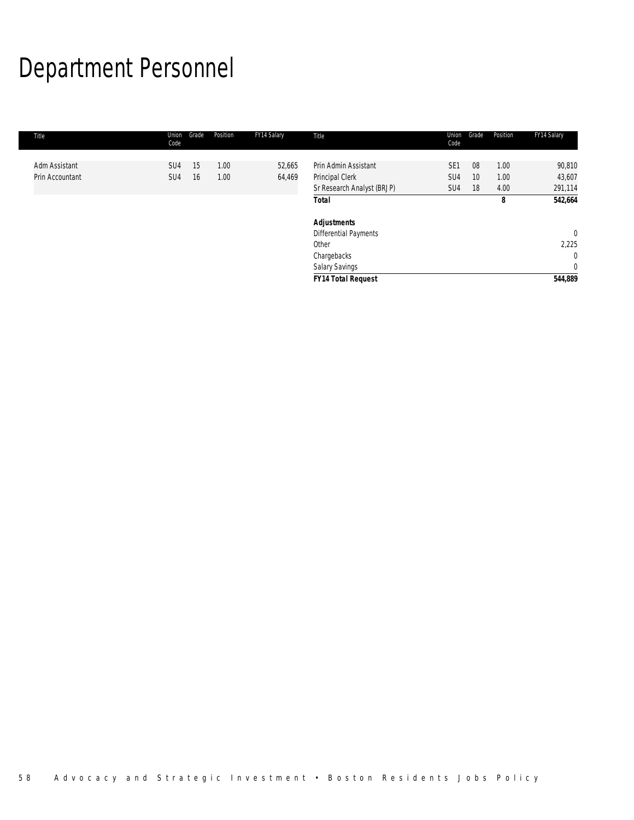# Department Personnel

| Title           | Union<br>Code   | Grade | Position | FY14 Salary | Title                      | Union<br>Code   | Grade | Position | FY14 Salary  |
|-----------------|-----------------|-------|----------|-------------|----------------------------|-----------------|-------|----------|--------------|
| Adm Assistant   | SU4             | 15    | 1.00     | 52,665      | Prin Admin Assistant       | SE <sub>1</sub> | 08    | 1.00     | 90,810       |
|                 |                 |       |          |             |                            |                 |       |          |              |
| Prin Accountant | SU <sub>4</sub> | 16    | 1.00     | 64,469      | Principal Clerk            | SU <sub>4</sub> | 10    | 1.00     | 43,607       |
|                 |                 |       |          |             | Sr Research Analyst (BRJP) | SU4             | 18    | 4.00     | 291,114      |
|                 |                 |       |          |             | <b>Total</b>               |                 |       | 8        | 542,664      |
|                 |                 |       |          |             | <b>Adjustments</b>         |                 |       |          |              |
|                 |                 |       |          |             | Differential Payments      |                 |       |          | $\mathbf{0}$ |
|                 |                 |       |          |             | Other                      |                 |       |          | 2,225        |
|                 |                 |       |          |             | Chargebacks                |                 |       |          | $\mathbf 0$  |
|                 |                 |       |          |             | <b>Salary Savings</b>      |                 |       |          | $\mathbf 0$  |
|                 |                 |       |          |             | <b>FY14 Total Request</b>  |                 |       |          | 544,889      |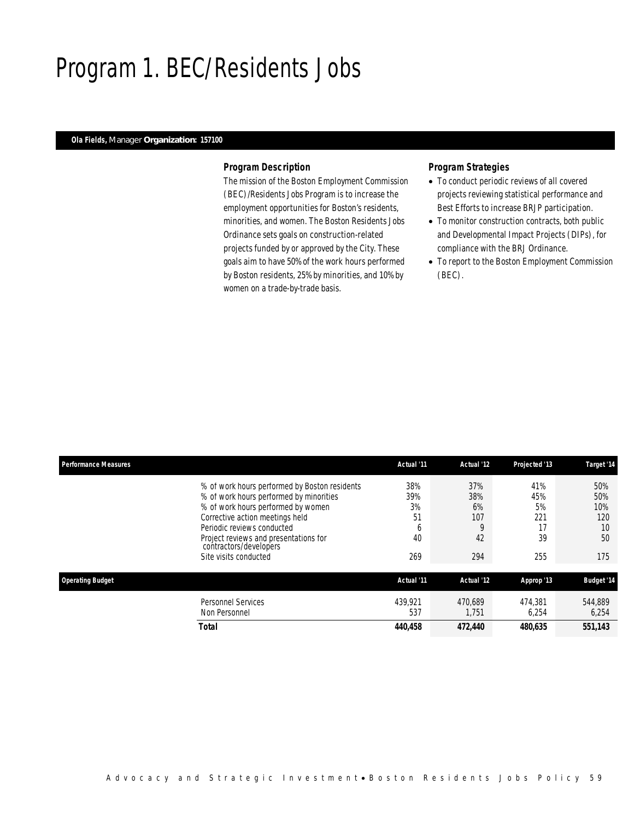## Program 1. BEC/Residents Jobs

### *Ola Fields, Manager Organization: 157100*

### *Program Description*

The mission of the Boston Employment Commission (BEC)/Residents Jobs Program is to increase the employment opportunities for Boston's residents, minorities, and women. The Boston Residents Jobs Ordinance sets goals on construction-related projects funded by or approved by the City. These goals aim to have 50% of the work hours performed by Boston residents, 25% by minorities, and 10% by women on a trade-by-trade basis.

## *Program Strategies*

- To conduct periodic reviews of all covered projects reviewing statistical performance and Best Efforts to increase BRJP participation.
- To monitor construction contracts, both public and Developmental Impact Projects (DIPs), for compliance with the BRJ Ordinance.
- To report to the Boston Employment Commission (BEC).

| <b>Performance Measures</b> |                                                                 | Actual '11 | Actual '12 | Projected '13 | Target '14        |
|-----------------------------|-----------------------------------------------------------------|------------|------------|---------------|-------------------|
|                             | % of work hours performed by Boston residents                   | 38%        | 37%        | 41%           | 50%               |
|                             | % of work hours performed by minorities                         | 39%        | 38%        | 45%           | 50%               |
|                             | % of work hours performed by women                              | 3%         | 6%         | 5%            | 10%               |
|                             | Corrective action meetings held                                 | 51         | 107        | 221           | 120               |
|                             | Periodic reviews conducted                                      | b          | 9          | 17            | 10                |
|                             | Project reviews and presentations for<br>contractors/developers | 40         | 42         | 39            | 50                |
|                             | Site visits conducted                                           | 269        | 294        | 255           | 175               |
| <b>Operating Budget</b>     |                                                                 | Actual '11 | Actual '12 | Approp '13    | <b>Budget '14</b> |
|                             | <b>Personnel Services</b>                                       | 439.921    | 470.689    | 474.381       | 544.889           |
|                             | Non Personnel                                                   | 537        | 1.751      | 6.254         | 6,254             |
|                             | <b>Total</b>                                                    | 440,458    | 472,440    | 480.635       | 551.143           |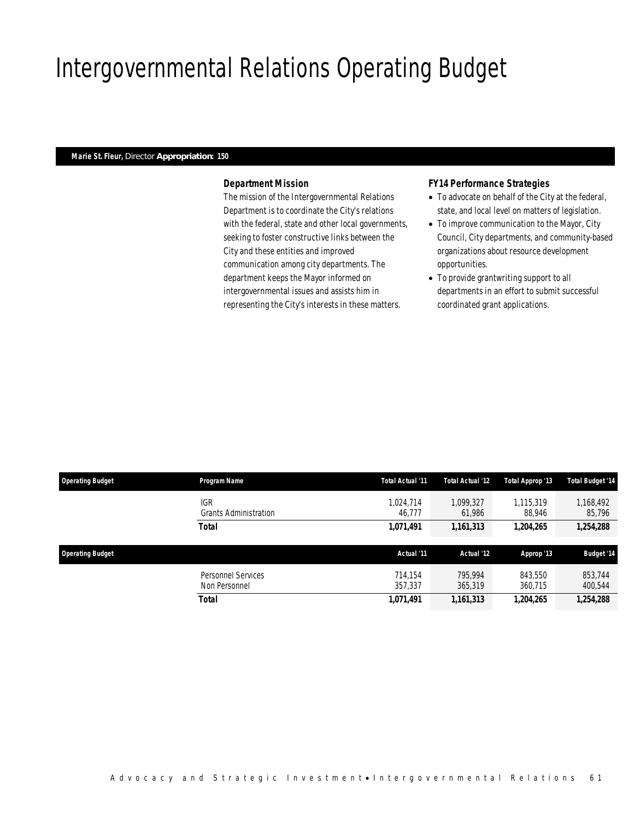# Intergovernmental Relations Operating Budget

#### *Marie St. Fleur, Director Appropriation: 150*

### *Department Mission*

The mission of the Intergovernmental Relations Department is to coordinate the City's relations with the federal, state and other local governments, seeking to foster constructive links between the City and these entities and improved communication among city departments. The department keeps the Mayor informed on intergovernmental issues and assists him in representing the City's interests in these matters.

### *FY14 Performance Strategies*

- To advocate on behalf of the City at the federal, state, and local level on matters of legislation.
- To improve communication to the Mayor, City Council, City departments, and community-based organizations about resource development opportunities.
- To provide grantwriting support to all departments in an effort to submit successful coordinated grant applications.

| <b>Operating Budget</b> | Program Name                               | Total Actual '11    | Total Actual '12    | Total Approp '13    | <b>Total Budget '14</b> |
|-------------------------|--------------------------------------------|---------------------|---------------------|---------------------|-------------------------|
|                         | <b>IGR</b><br><b>Grants Administration</b> | 1.024.714<br>46.777 | 1.099.327<br>61,986 | 1,115,319<br>88.946 | 1,168,492<br>85,796     |
|                         | <b>Total</b>                               | 1,071,491           | 1,161,313           | 1,204,265           | 1,254,288               |
| <b>Operating Budget</b> |                                            | Actual '11          | Actual '12          | Approp '13          | <b>Budget '14</b>       |
|                         | Personnel Services<br>Non Personnel        | 714.154<br>357,337  | 795.994<br>365,319  | 843,550<br>360,715  | 853,744<br>400,544      |
|                         | <b>Total</b>                               | 1,071,491           | 1,161,313           | 1,204,265           | 1,254,288               |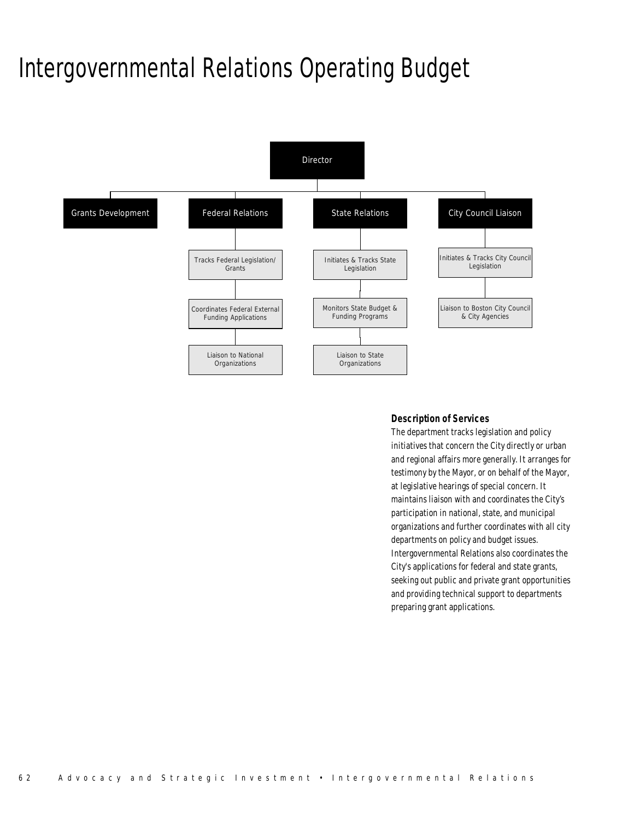# Intergovernmental Relations Operating Budget



### *Description of Services*

The department tracks legislation and policy initiatives that concern the City directly or urban and regional affairs more generally. It arranges for testimony by the Mayor, or on behalf of the Mayor, at legislative hearings of special concern. It maintains liaison with and coordinates the City's participation in national, state, and municipal organizations and further coordinates with all city departments on policy and budget issues. Intergovernmental Relations also coordinates the City's applications for federal and state grants, seeking out public and private grant opportunities and providing technical support to departments preparing grant applications.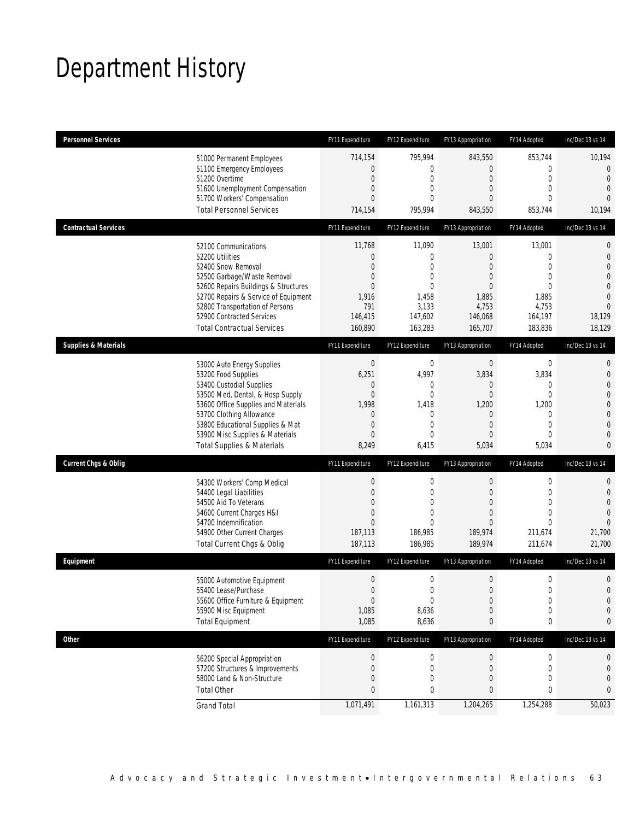# Department History

| <b>Personnel Services</b>       |                                                                                                                                                                                                                                                                                                                                                                                                                                                                                                 | FY11 Expenditure                                                                                                                                                                                                                             | FY12 Expenditure                                                                                                                                                                              | FY13 Appropriation                                                                                                                                                                             | FY14 Adopted                                                                                                                                                                                                                                    | Inc/Dec 13 vs 14                                                                                                                                                                                                                                                              |
|---------------------------------|-------------------------------------------------------------------------------------------------------------------------------------------------------------------------------------------------------------------------------------------------------------------------------------------------------------------------------------------------------------------------------------------------------------------------------------------------------------------------------------------------|----------------------------------------------------------------------------------------------------------------------------------------------------------------------------------------------------------------------------------------------|-----------------------------------------------------------------------------------------------------------------------------------------------------------------------------------------------|------------------------------------------------------------------------------------------------------------------------------------------------------------------------------------------------|-------------------------------------------------------------------------------------------------------------------------------------------------------------------------------------------------------------------------------------------------|-------------------------------------------------------------------------------------------------------------------------------------------------------------------------------------------------------------------------------------------------------------------------------|
|                                 | 51000 Permanent Employees<br>51100 Emergency Employees<br>51200 Overtime<br>51600 Unemployment Compensation<br>51700 Workers' Compensation<br><b>Total Personnel Services</b>                                                                                                                                                                                                                                                                                                                   | 714,154<br>0<br>0<br>$\overline{0}$<br>$\overline{0}$<br>714,154                                                                                                                                                                             | 795,994<br>0<br>$\mathbf{0}$<br>0<br>$\Omega$<br>795,994                                                                                                                                      | 843,550<br>$\mathbf{0}$<br>$\overline{0}$<br>$\mathbf{0}$<br>0<br>843,550                                                                                                                      | 853,744<br>$\mathbf 0$<br>$\mathbf{0}$<br>$\mathbf{0}$<br>$\mathbf{0}$<br>853,744                                                                                                                                                               | 10,194<br>$\overline{0}$<br>$\mathbf{0}$<br>$\overline{0}$<br>$\Omega$<br>10,194                                                                                                                                                                                              |
| <b>Contractual Services</b>     |                                                                                                                                                                                                                                                                                                                                                                                                                                                                                                 | FY11 Expenditure                                                                                                                                                                                                                             | FY12 Expenditure                                                                                                                                                                              | FY13 Appropriation                                                                                                                                                                             | FY14 Adopted                                                                                                                                                                                                                                    | Inc/Dec 13 vs 14                                                                                                                                                                                                                                                              |
|                                 | 52100 Communications<br>52200 Utilities<br>52400 Snow Removal<br>52500 Garbage/Waste Removal<br>52600 Repairs Buildings & Structures<br>52700 Repairs & Service of Equipment<br>52800 Transportation of Persons<br>52900 Contracted Services<br><b>Total Contractual Services</b>                                                                                                                                                                                                               | 11,768<br>0<br>$\overline{0}$<br>$\overline{0}$<br>$\overline{0}$<br>1,916<br>791<br>146,415<br>160,890                                                                                                                                      | 11,090<br>0<br>$\overline{0}$<br>$\mathbf{0}$<br>$\mathbf{0}$<br>1,458<br>3,133<br>147,602<br>163,283                                                                                         | 13,001<br>0<br>0<br>$\overline{0}$<br>$\overline{0}$<br>1,885<br>4,753<br>146,068<br>165,707                                                                                                   | 13,001<br>$\mathbf{0}$<br>$\mathbf{0}$<br>$\mathbf{0}$<br>$\mathbf{0}$<br>1,885<br>4,753<br>164,197<br>183,836                                                                                                                                  | $\mathbf 0$<br>$\mathbf 0$<br>$\overline{0}$<br>$\overline{0}$<br>$\overline{0}$<br>$\overline{0}$<br>$\overline{0}$<br>18,129<br>18,129                                                                                                                                      |
| <b>Supplies &amp; Materials</b> |                                                                                                                                                                                                                                                                                                                                                                                                                                                                                                 | FY11 Expenditure                                                                                                                                                                                                                             | FY12 Expenditure                                                                                                                                                                              | FY13 Appropriation                                                                                                                                                                             | FY14 Adopted                                                                                                                                                                                                                                    | Inc/Dec 13 vs 14                                                                                                                                                                                                                                                              |
| <b>Current Chgs &amp; Oblig</b> | 53000 Auto Energy Supplies<br>53200 Food Supplies<br>53400 Custodial Supplies<br>53500 Med, Dental, & Hosp Supply<br>53600 Office Supplies and Materials<br>53700 Clothing Allowance<br>53800 Educational Supplies & Mat<br>53900 Misc Supplies & Materials<br>Total Supplies & Materials<br>54300 Workers' Comp Medical<br>54400 Legal Liabilities<br>54500 Aid To Veterans<br>54600 Current Charges H&I<br>54700 Indemnification<br>54900 Other Current Charges<br>Total Current Chgs & Oblig | $\boldsymbol{0}$<br>6,251<br>$\mathbf 0$<br>$\boldsymbol{0}$<br>1,998<br>0<br>$\overline{0}$<br>$\overline{0}$<br>8,249<br>FY11 Expenditure<br>$\boldsymbol{0}$<br>$\boldsymbol{0}$<br>0<br>$\overline{0}$<br>$\Omega$<br>187,113<br>187,113 | 0<br>4,997<br>$\mathbf 0$<br>$\mathbf 0$<br>1,418<br>$\mathbf 0$<br>$\mathbf{0}$<br>0<br>6,415<br>FY12 Expenditure<br>0<br>$\mathbf 0$<br>0<br>$\mathbf{0}$<br>$\Omega$<br>186,985<br>186,985 | $\boldsymbol{0}$<br>3,834<br>0<br>$\boldsymbol{0}$<br>1,200<br>$\mathbf 0$<br>0<br>0<br>5,034<br>FY13 Appropriation<br>$\boldsymbol{0}$<br>$\overline{0}$<br>0<br>0<br>0<br>189,974<br>189,974 | $\boldsymbol{0}$<br>3,834<br>$\mathbf{0}$<br>$\mathbf 0$<br>1,200<br>$\mathbf 0$<br>$\mathbf{0}$<br>$\mathbf{0}$<br>5,034<br>FY14 Adopted<br>$\boldsymbol{0}$<br>$\mathbf{0}$<br>$\mathbf{0}$<br>$\mathbf{0}$<br>$\theta$<br>211,674<br>211,674 | $\mathbf{0}$<br>$\mathbf{0}$<br>$\overline{0}$<br>$\mathbf{0}$<br>$\mathbf 0$<br>$\overline{0}$<br>$\overline{0}$<br>$\mathbf{0}$<br>$\mathbf{0}$<br>Inc/Dec 13 vs 14<br>$\mathbf 0$<br>$\mathbf 0$<br>$\overline{0}$<br>$\overline{0}$<br>$\overline{0}$<br>21,700<br>21,700 |
| Equipment                       |                                                                                                                                                                                                                                                                                                                                                                                                                                                                                                 | FY11 Expenditure                                                                                                                                                                                                                             | FY12 Expenditure                                                                                                                                                                              | FY13 Appropriation                                                                                                                                                                             | FY14 Adopted                                                                                                                                                                                                                                    | Inc/Dec 13 vs 14                                                                                                                                                                                                                                                              |
|                                 | 55000 Automotive Equipment<br>55400 Lease/Purchase<br>55600 Office Furniture & Equipment<br>55900 Misc Equipment<br><b>Total Equipment</b>                                                                                                                                                                                                                                                                                                                                                      | 0<br>$\Omega$<br>$\boldsymbol{0}$<br>1,085<br>1,085                                                                                                                                                                                          | 0<br>$\Omega$<br>$\mathbf 0$<br>8,636<br>8,636                                                                                                                                                | $\boldsymbol{0}$<br>$\Omega$<br>$\boldsymbol{0}$<br>$\mathbf 0$<br>$\pmb{0}$                                                                                                                   | $\boldsymbol{0}$<br>$\Omega$<br>$\boldsymbol{0}$<br>$\boldsymbol{0}$<br>0                                                                                                                                                                       | $\mathbf 0$<br>$\Omega$<br>$\mathbf 0$<br>$\mathbf 0$<br>0                                                                                                                                                                                                                    |
| Other                           |                                                                                                                                                                                                                                                                                                                                                                                                                                                                                                 | FY11 Expenditure                                                                                                                                                                                                                             | FY12 Expenditure                                                                                                                                                                              | FY13 Appropriation                                                                                                                                                                             | FY14 Adopted                                                                                                                                                                                                                                    | Inc/Dec 13 vs 14                                                                                                                                                                                                                                                              |
|                                 | 56200 Special Appropriation<br>57200 Structures & Improvements<br>58000 Land & Non-Structure<br><b>Total Other</b>                                                                                                                                                                                                                                                                                                                                                                              | 0<br>0<br>0<br>0                                                                                                                                                                                                                             | 0<br>0<br>0<br>0                                                                                                                                                                              | $\mathbf 0$<br>$\mathbf 0$<br>0<br>0                                                                                                                                                           | 0<br>0<br>$\mathbf{0}$<br>0                                                                                                                                                                                                                     | 0<br>$\mathbf 0$<br>0<br>0                                                                                                                                                                                                                                                    |
|                                 | <b>Grand Total</b>                                                                                                                                                                                                                                                                                                                                                                                                                                                                              | 1,071,491                                                                                                                                                                                                                                    | 1,161,313                                                                                                                                                                                     | 1,204,265                                                                                                                                                                                      | 1,254,288                                                                                                                                                                                                                                       | 50,023                                                                                                                                                                                                                                                                        |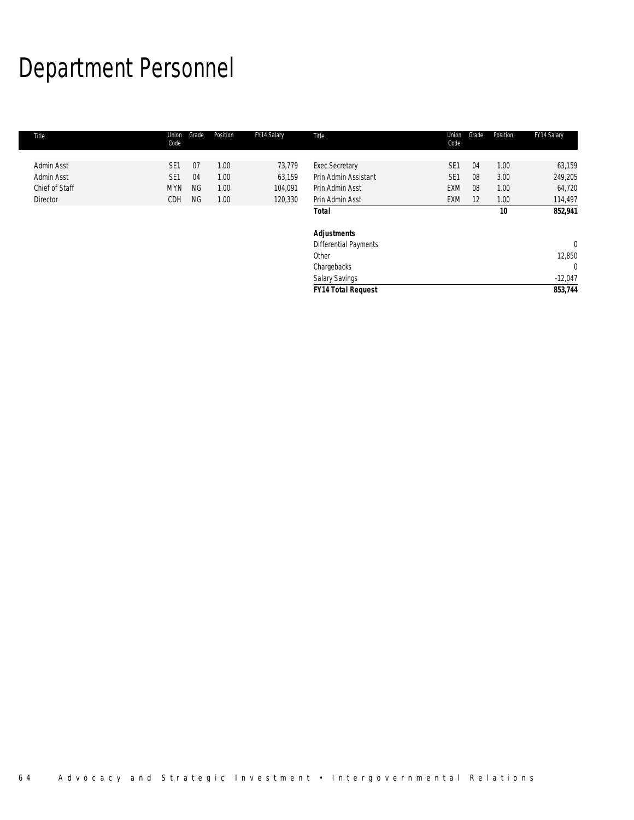# Department Personnel

| Title          | Union<br>Code   | Grade     | Position | FY14 Salary | Title                        | Union<br>Code   | Grade | Position | FY14 Salary  |
|----------------|-----------------|-----------|----------|-------------|------------------------------|-----------------|-------|----------|--------------|
|                |                 |           |          |             |                              |                 |       |          |              |
| Admin Asst     | SE <sub>1</sub> | 07        | 1.00     | 73,779      | <b>Exec Secretary</b>        | SE <sub>1</sub> | 04    | 1.00     | 63,159       |
| Admin Asst     | SE <sub>1</sub> | 04        | 1.00     | 63,159      | Prin Admin Assistant         | SE <sub>1</sub> | 08    | 3.00     | 249,205      |
| Chief of Staff | <b>MYN</b>      | <b>NG</b> | 1.00     | 104,091     | Prin Admin Asst              | <b>EXM</b>      | 08    | 1.00     | 64,720       |
| Director       | CDH             | <b>NG</b> | 1.00     | 120,330     | Prin Admin Asst              | EXM             | 12    | 1.00     | 114,497      |
|                |                 |           |          |             | <b>Total</b>                 |                 |       | 10       | 852,941      |
|                |                 |           |          |             | <b>Adjustments</b>           |                 |       |          |              |
|                |                 |           |          |             | <b>Differential Payments</b> |                 |       |          | $\mathbf{0}$ |
|                |                 |           |          |             | Other                        |                 |       |          | 12,850       |
|                |                 |           |          |             | Chargebacks                  |                 |       |          | $\mathbf{0}$ |
|                |                 |           |          |             | <b>Salary Savings</b>        |                 |       |          | $-12,047$    |
|                |                 |           |          |             | <b>FY14 Total Request</b>    |                 |       |          | 853,744      |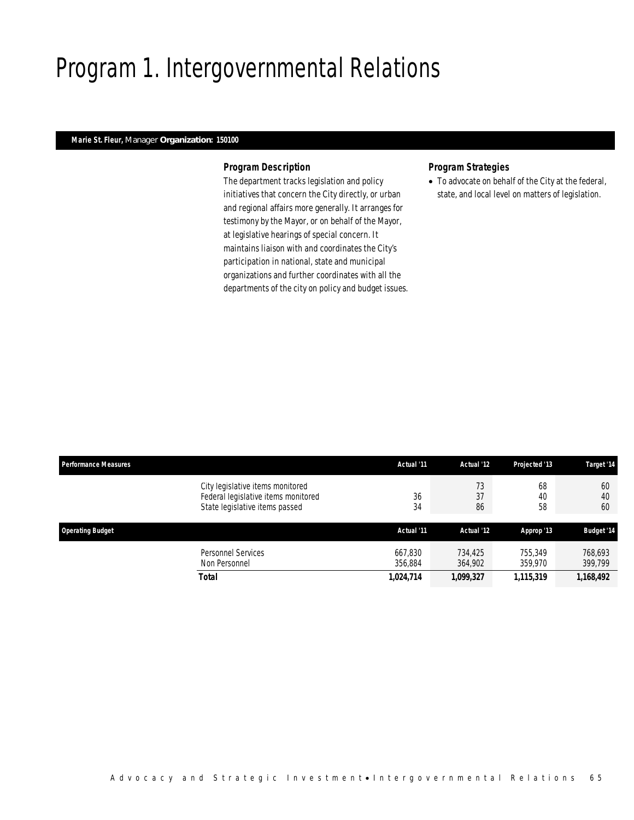# Program 1. Intergovernmental Relations

## *Marie St. Fleur, Manager Organization: 150100*

### *Program Description*

The department tracks legislation and policy initiatives that concern the City directly, or urban and regional affairs more generally. It arranges for testimony by the Mayor, or on behalf of the Mayor, at legislative hearings of special concern. It maintains liaison with and coordinates the City's participation in national, state and municipal organizations and further coordinates with all the departments of the city on policy and budget issues.

### *Program Strategies*

• To advocate on behalf of the City at the federal, state, and local level on matters of legislation.

| <b>Performance Measures</b> |                                                                                                           | Actual '11         | Actual '12         | Projected '13      | Target '14         |
|-----------------------------|-----------------------------------------------------------------------------------------------------------|--------------------|--------------------|--------------------|--------------------|
|                             | City legislative items monitored<br>Federal legislative items monitored<br>State legislative items passed | 36<br>34           | 73<br>37<br>86     | 68<br>40<br>58     | 60<br>40<br>60     |
| <b>Operating Budget</b>     |                                                                                                           | Actual '11         | Actual '12         | Approp '13         | <b>Budget '14</b>  |
| Non Personnel               | Personnel Services                                                                                        | 667.830<br>356.884 | 734.425<br>364,902 | 755,349<br>359,970 | 768,693<br>399,799 |
| <b>Total</b>                |                                                                                                           | 1,024,714          | 1,099,327          | 1,115,319          | 1,168,492          |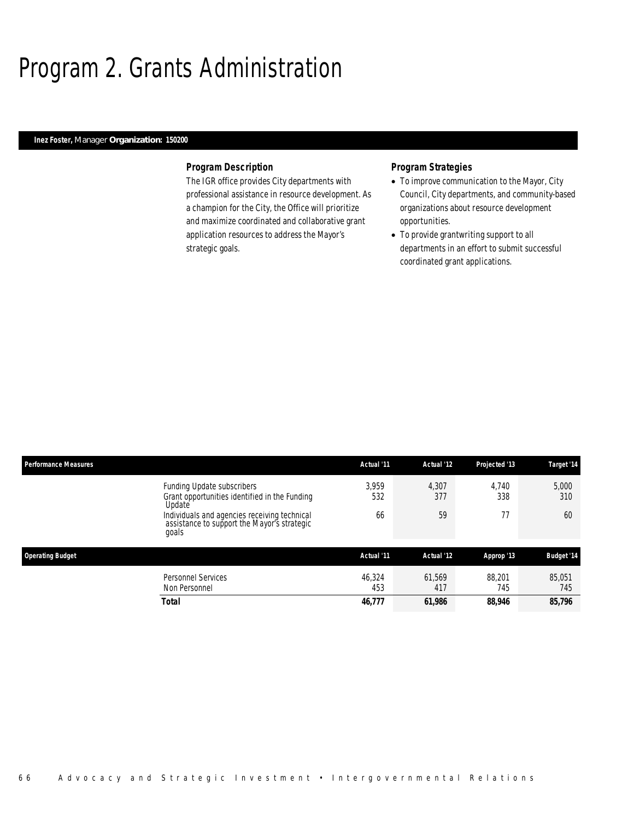## Program 2. Grants Administration

### *Inez Foster, Manager Organization: 150200*

### *Program Description*

The IGR office provides City departments with professional assistance in resource development. As a champion for the City, the Office will prioritize and maximize coordinated and collaborative grant application resources to address the Mayor's strategic goals.

## *Program Strategies*

- To improve communication to the Mayor, City Council, City departments, and community-based organizations about resource development opportunities.
- To provide grantwriting support to all departments in an effort to submit successful coordinated grant applications.

| <b>Performance Measures</b> |                                                                                                      | Actual '11    | Actual '12    | Projected '13 | Target '14        |
|-----------------------------|------------------------------------------------------------------------------------------------------|---------------|---------------|---------------|-------------------|
|                             | Funding Update subscribers<br>Grant opportunities identified in the Funding<br>Update                | 3,959<br>532  | 4,307<br>377  | 4.740<br>338  | 5,000<br>310      |
|                             | Individuals and agencies receiving technical<br>assistance to support the Mayor's strategic<br>goals | 66            | 59            | 77            | 60                |
| <b>Operating Budget</b>     |                                                                                                      | Actual '11    | Actual '12    | Approp '13    | <b>Budget '14</b> |
|                             | Personnel Services<br>Non Personnel                                                                  | 46,324<br>453 | 61,569<br>417 | 88,201<br>745 | 85.051<br>745     |
|                             | <b>Total</b>                                                                                         | 46,777        | 61,986        | 88,946        | 85,796            |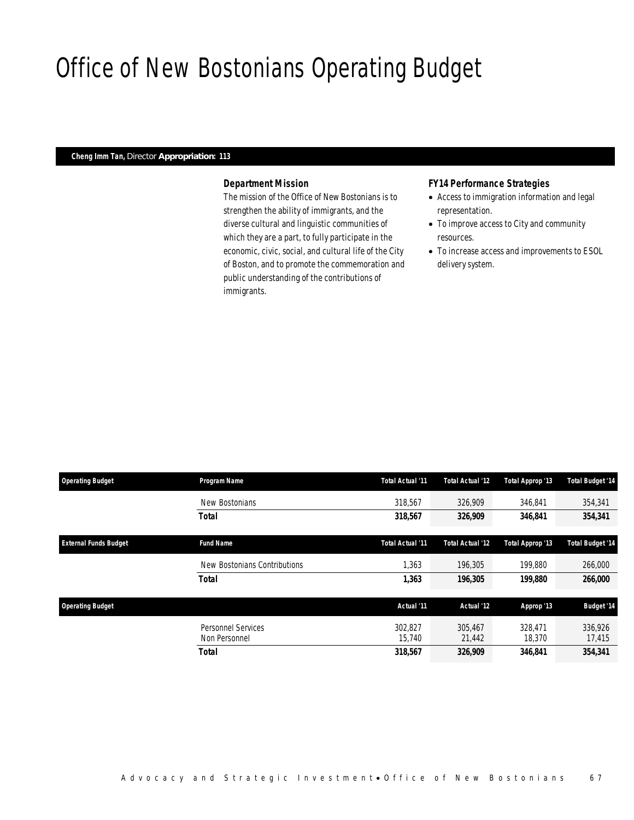## Office of New Bostonians Operating Budget

### *Cheng Imm Tan, Director Appropriation: 113*

## *Department Mission*

The mission of the Office of New Bostonians is to strengthen the ability of immigrants, and the diverse cultural and linguistic communities of which they are a part, to fully participate in the economic, civic, social, and cultural life of the City of Boston, and to promote the commemoration and public understanding of the contributions of immigrants.

### *FY14 Performance Strategies*

- Access to immigration information and legal representation.
- To improve access to City and community resources.
- To increase access and improvements to ESOL delivery system.

| <b>Operating Budget</b>      | Program Name                               | Total Actual '11  | Total Actual '12  | Total Approp '13  | <b>Total Budget '14</b> |
|------------------------------|--------------------------------------------|-------------------|-------------------|-------------------|-------------------------|
|                              | New Bostonians                             | 318,567           | 326,909           | 346,841           | 354,341                 |
|                              | <b>Total</b>                               | 318,567           | 326,909           | 346,841           | 354,341                 |
| <b>External Funds Budget</b> | <b>Fund Name</b>                           | Total Actual '11  | Total Actual '12  | Total Approp '13  | <b>Total Budget '14</b> |
|                              | New Bostonians Contributions               | 1.363             | 196.305           | 199,880           | 266,000                 |
|                              | <b>Total</b>                               | 1,363             | 196,305           | 199.880           | 266,000                 |
| <b>Operating Budget</b>      |                                            | Actual '11        | Actual '12        | Approp '13        | <b>Budget '14</b>       |
|                              | <b>Personnel Services</b><br>Non Personnel | 302,827<br>15,740 | 305.467<br>21,442 | 328,471<br>18,370 | 336,926<br>17,415       |
|                              | <b>Total</b>                               | 318,567           | 326,909           | 346,841           | 354,341                 |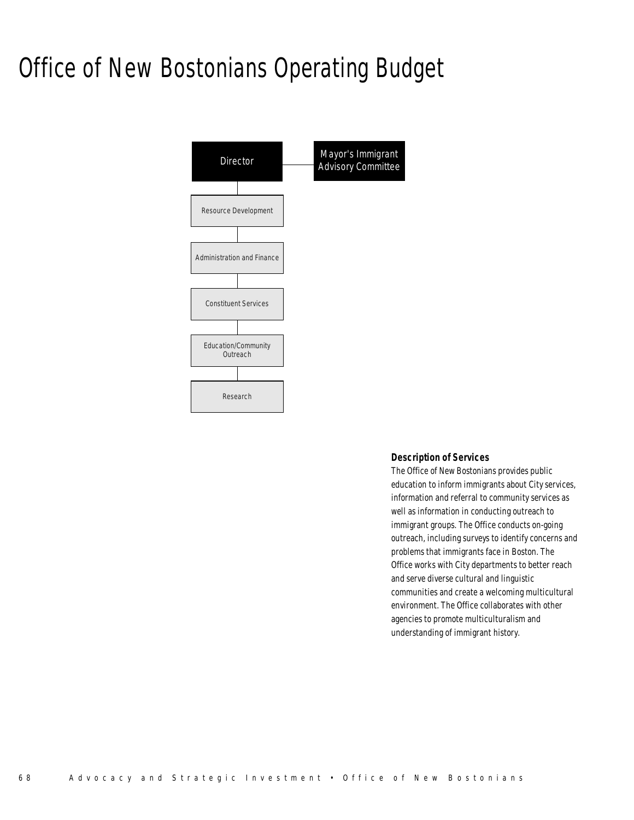# Office of New Bostonians Operating Budget



## *Description of Services*

The Office of New Bostonians provides public education to inform immigrants about City services, information and referral to community services as well as information in conducting outreach to immigrant groups. The Office conducts on-going outreach, including surveys to identify concerns and problems that immigrants face in Boston. The Office works with City departments to better reach and serve diverse cultural and linguistic communities and create a welcoming multicultural environment. The Office collaborates with other agencies to promote multiculturalism and understanding of immigrant history.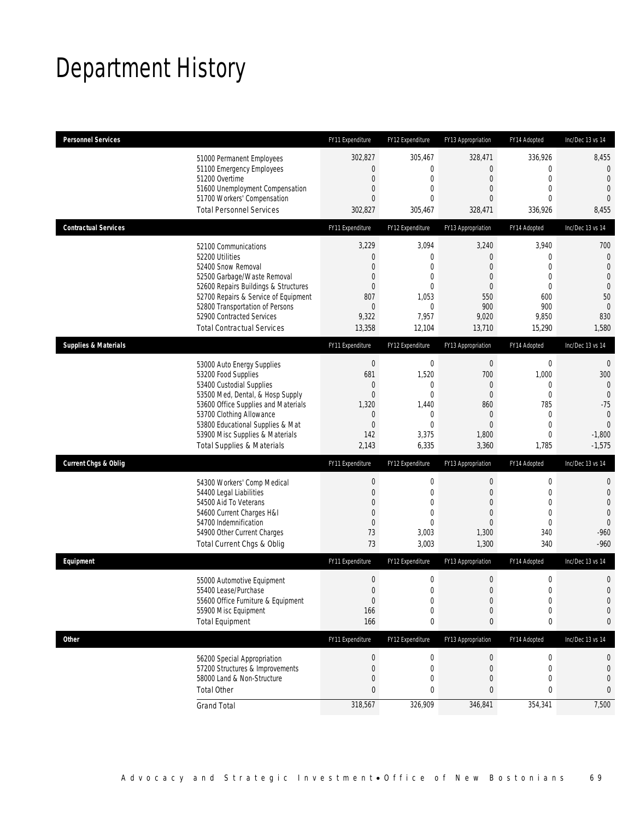# Department History

| <b>Personnel Services</b>       |                                                                                                                                                                                                                                                                                                      | FY11 Expenditure                                                                                   | FY12 Expenditure                                                                                          | FY13 Appropriation                                                                          | FY14 Adopted                                                                                                      | Inc/Dec 13 vs 14                                                                                                         |
|---------------------------------|------------------------------------------------------------------------------------------------------------------------------------------------------------------------------------------------------------------------------------------------------------------------------------------------------|----------------------------------------------------------------------------------------------------|-----------------------------------------------------------------------------------------------------------|---------------------------------------------------------------------------------------------|-------------------------------------------------------------------------------------------------------------------|--------------------------------------------------------------------------------------------------------------------------|
| 51200 Overtime                  | 51000 Permanent Employees<br>51100 Emergency Employees<br>51600 Unemployment Compensation<br>51700 Workers' Compensation<br><b>Total Personnel Services</b>                                                                                                                                          | 302,827<br>0<br>$\mathbf 0$<br>0<br>$\overline{0}$<br>302,827                                      | 305,467<br>$\overline{0}$<br>$\mathbf 0$<br>0<br>$\theta$<br>305,467                                      | 328,471<br>$\overline{0}$<br>$\mathbf 0$<br>0<br>0<br>328,471                               | 336,926<br>$\mathbf 0$<br>$\mathbf 0$<br>$\mathbf{0}$<br>$\mathbf{0}$<br>336,926                                  | 8,455<br>$\overline{0}$<br>$\overline{0}$<br>$\mathbf{0}$<br>$\theta$<br>8,455                                           |
| <b>Contractual Services</b>     |                                                                                                                                                                                                                                                                                                      | FY11 Expenditure                                                                                   | FY12 Expenditure                                                                                          | FY13 Appropriation                                                                          | FY14 Adopted                                                                                                      | Inc/Dec 13 vs 14                                                                                                         |
| 52200 Utilities                 | 52100 Communications<br>52400 Snow Removal<br>52500 Garbage/Waste Removal<br>52600 Repairs Buildings & Structures<br>52700 Repairs & Service of Equipment<br>52800 Transportation of Persons<br>52900 Contracted Services<br><b>Total Contractual Services</b>                                       | 3,229<br>0<br>0<br>0<br>0<br>807<br>$\mathbf 0$<br>9,322<br>13,358                                 | 3,094<br>0<br>0<br>$\mathbf 0$<br>0<br>1,053<br>$\mathbf 0$<br>7,957<br>12,104                            | 3,240<br>0<br>0<br>0<br>0<br>550<br>900<br>9,020<br>13,710                                  | 3,940<br>$\mathbf 0$<br>$\mathbf{0}$<br>$\mathbf{0}$<br>$\mathbf 0$<br>600<br>900<br>9,850<br>15,290              | 700<br>$\mathbf 0$<br>$\overline{0}$<br>$\mathbf{0}$<br>$\mathbf 0$<br>50<br>$\mathbf 0$<br>830<br>1,580                 |
| <b>Supplies &amp; Materials</b> |                                                                                                                                                                                                                                                                                                      | FY11 Expenditure                                                                                   | FY12 Expenditure                                                                                          | FY13 Appropriation                                                                          | FY14 Adopted                                                                                                      | Inc/Dec 13 vs 14                                                                                                         |
|                                 | 53000 Auto Energy Supplies<br>53200 Food Supplies<br>53400 Custodial Supplies<br>53500 Med, Dental, & Hosp Supply<br>53600 Office Supplies and Materials<br>53700 Clothing Allowance<br>53800 Educational Supplies & Mat<br>53900 Misc Supplies & Materials<br><b>Total Supplies &amp; Materials</b> | $\boldsymbol{0}$<br>681<br>0<br>$\mathbf 0$<br>1,320<br>$\mathbf 0$<br>$\mathbf 0$<br>142<br>2,143 | $\boldsymbol{0}$<br>1,520<br>0<br>$\mathbf 0$<br>1,440<br>$\mathbf 0$<br>$\overline{0}$<br>3,375<br>6,335 | $\boldsymbol{0}$<br>700<br>0<br>$\mathbf 0$<br>860<br>0<br>$\overline{0}$<br>1,800<br>3,360 | $\mathbf 0$<br>1,000<br>$\mathbf 0$<br>$\mathbf 0$<br>785<br>$\mathbf 0$<br>$\mathbf{0}$<br>$\mathbf{0}$<br>1,785 | $\mathbf{0}$<br>300<br>$\mathbf{0}$<br>$\overline{0}$<br>$-75$<br>$\mathbf{0}$<br>$\overline{0}$<br>$-1,800$<br>$-1,575$ |
| <b>Current Chgs &amp; Oblig</b> |                                                                                                                                                                                                                                                                                                      | FY11 Expenditure                                                                                   | FY12 Expenditure                                                                                          | FY13 Appropriation                                                                          | FY14 Adopted                                                                                                      | Inc/Dec 13 vs 14                                                                                                         |
|                                 | 54300 Workers' Comp Medical<br>54400 Legal Liabilities<br>54500 Aid To Veterans<br>54600 Current Charges H&I<br>54700 Indemnification<br>54900 Other Current Charges<br>Total Current Chgs & Oblig                                                                                                   | $\boldsymbol{0}$<br>$\mathbf 0$<br>0<br>0<br>$\mathbf 0$<br>73<br>73                               | $\boldsymbol{0}$<br>$\mathbf 0$<br>0<br>$\overline{0}$<br>$\overline{0}$<br>3,003<br>3,003                | 0<br>$\mathbf 0$<br>0<br>0<br>$\overline{0}$<br>1,300<br>1,300                              | $\boldsymbol{0}$<br>$\mathbf 0$<br>$\mathbf{0}$<br>$\mathbf 0$<br>$\mathbf{0}$<br>340<br>340                      | $\mathbf{0}$<br>$\mathbf 0$<br>$\overline{0}$<br>$\overline{0}$<br>$\theta$<br>$-960$<br>$-960$                          |
| Equipment                       |                                                                                                                                                                                                                                                                                                      | FY11 Expenditure                                                                                   | FY12 Expenditure                                                                                          | FY13 Appropriation                                                                          | FY14 Adopted                                                                                                      | Inc/Dec 13 vs 14                                                                                                         |
|                                 | 55000 Automotive Equipment<br>55400 Lease/Purchase<br>55600 Office Furniture & Equipment<br>55900 Misc Equipment<br><b>Total Equipment</b>                                                                                                                                                           | $\mathbf 0$<br>$\overline{0}$<br>$\boldsymbol{0}$<br>166<br>166                                    | $\mathbf 0$<br>$\Omega$<br>0<br>$\mathbf 0$<br>0                                                          | $\mathbf 0$<br>0<br>$\boldsymbol{0}$<br>$\mathbf 0$<br>0                                    | $\mathbf 0$<br>$\mathbf{0}$<br>$\boldsymbol{0}$<br>$\mathbf 0$<br>0                                               | $\mathbf 0$<br>$\overline{0}$<br>$\mathbf 0$<br>$\mathbf 0$<br>0                                                         |
| <b>Other</b>                    |                                                                                                                                                                                                                                                                                                      | FY11 Expenditure                                                                                   | FY12 Expenditure                                                                                          | FY13 Appropriation                                                                          | FY14 Adopted                                                                                                      | Inc/Dec 13 vs 14                                                                                                         |
| <b>Total Other</b>              | 56200 Special Appropriation<br>57200 Structures & Improvements<br>58000 Land & Non-Structure                                                                                                                                                                                                         | $\boldsymbol{0}$<br>0<br>$\mathbf 0$<br>0                                                          | 0<br>$\mathbf 0$<br>$\mathbf 0$<br>0                                                                      | $\boldsymbol{0}$<br>0<br>$\mathbf 0$<br>0                                                   | $\boldsymbol{0}$<br>$\mathbf 0$<br>$\mathbf{0}$<br>0                                                              | 0<br>$\mathbf 0$<br>$\mathbf 0$<br>0                                                                                     |
| <b>Grand Total</b>              |                                                                                                                                                                                                                                                                                                      | 318,567                                                                                            | 326,909                                                                                                   | 346,841                                                                                     | 354,341                                                                                                           | 7,500                                                                                                                    |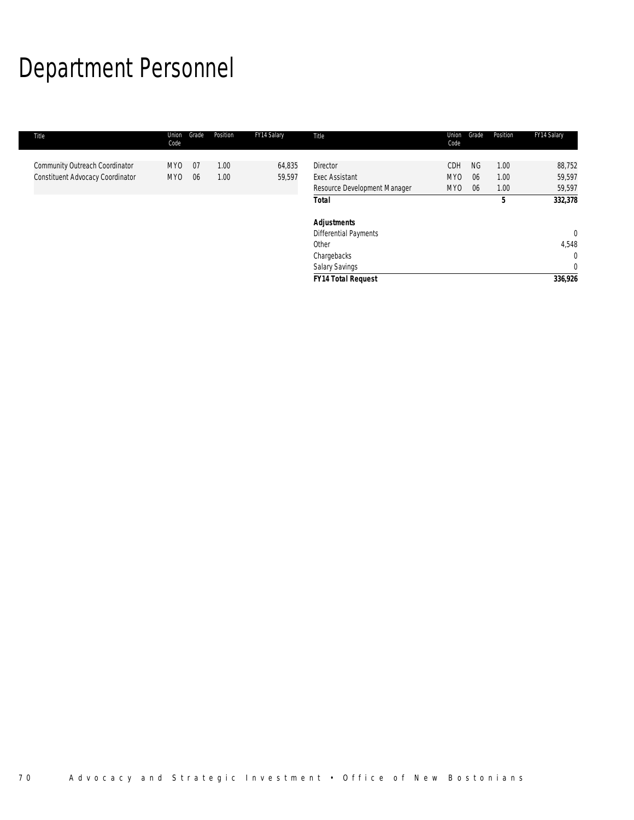# Department Personnel

| Title                                                              | Union<br>Code | Grade      | Position     | FY14 Salary      | Title                                    | Union<br>Code          | Grade           | Position     | FY14 Salary      |
|--------------------------------------------------------------------|---------------|------------|--------------|------------------|------------------------------------------|------------------------|-----------------|--------------|------------------|
| Community Outreach Coordinator<br>Constituent Advocacy Coordinator | MY0<br>MY0    | 07<br>- 06 | 1.00<br>1.00 | 64,835<br>59,597 | <b>Director</b><br><b>Exec Assistant</b> | CDH<br>MY <sub>0</sub> | <b>NG</b><br>06 | 1.00<br>1.00 | 88,752<br>59,597 |
|                                                                    |               |            |              |                  | Resource Development Manager             | MY <sub>0</sub>        | 06              | 1.00         | 59,597           |
|                                                                    |               |            |              |                  | <b>Total</b>                             |                        |                 | 5            | 332,378          |
|                                                                    |               |            |              |                  | <b>Adjustments</b>                       |                        |                 |              |                  |
|                                                                    |               |            |              |                  | <b>Differential Payments</b>             |                        |                 |              | $\overline{0}$   |
|                                                                    |               |            |              |                  | Other                                    |                        |                 |              | 4,548            |
|                                                                    |               |            |              |                  | Chargebacks                              |                        |                 |              | $\mathbf 0$      |
|                                                                    |               |            |              |                  | Salary Savings                           |                        |                 |              | $\mathbf 0$      |
|                                                                    |               |            |              |                  | <b>FY14 Total Request</b>                |                        |                 |              | 336,926          |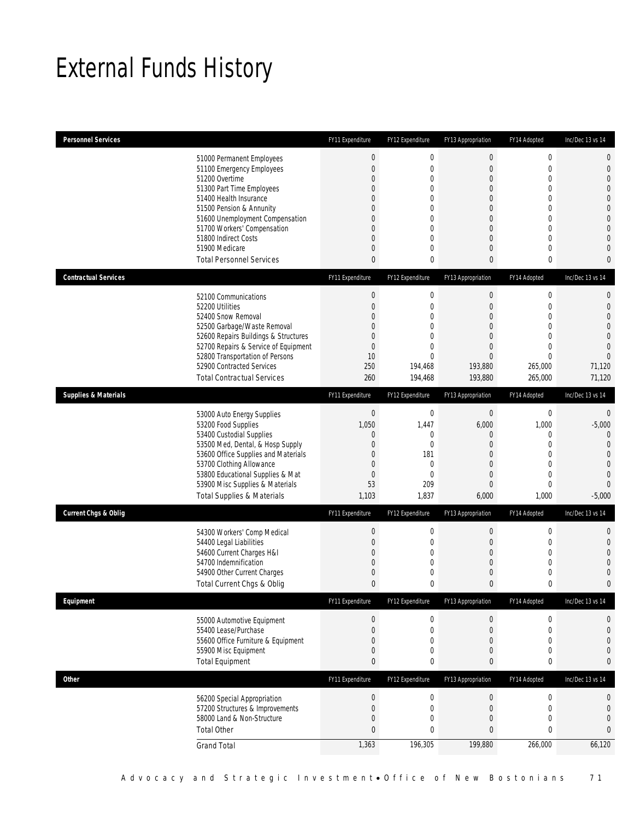# External Funds History

| <b>Personnel Services</b>       |                                                                                                                                                                                                                                                                                                            | FY11 Expenditure                                                                                             | FY12 Expenditure                                                                                                    | FY13 Appropriation                                                                                                                                                     | FY14 Adopted                                                                                                                                                     | Inc/Dec 13 vs 14                                                                                                                                                                 |
|---------------------------------|------------------------------------------------------------------------------------------------------------------------------------------------------------------------------------------------------------------------------------------------------------------------------------------------------------|--------------------------------------------------------------------------------------------------------------|---------------------------------------------------------------------------------------------------------------------|------------------------------------------------------------------------------------------------------------------------------------------------------------------------|------------------------------------------------------------------------------------------------------------------------------------------------------------------|----------------------------------------------------------------------------------------------------------------------------------------------------------------------------------|
|                                 | 51000 Permanent Employees<br>51100 Emergency Employees<br>51200 Overtime<br>51300 Part Time Employees<br>51400 Health Insurance<br>51500 Pension & Annunity<br>51600 Unemployment Compensation<br>51700 Workers' Compensation<br>51800 Indirect Costs<br>51900 Medicare<br><b>Total Personnel Services</b> | $\bf 0$<br>$\mathbf{0}$<br>0<br>0<br>0<br>0<br>0<br>0<br>0<br>0<br>$\mathbf{0}$                              | $\boldsymbol{0}$<br>0<br>0<br>0<br>$\theta$<br>$\mathbf 0$<br>0<br>$\overline{0}$<br>0<br>$\overline{0}$<br>0       | $\mathbf 0$<br>$\mathbf{0}$<br>$\mathbf 0$<br>$\overline{0}$<br>$\Omega$<br>$\mathbf 0$<br>$\overline{0}$<br>$\boldsymbol{0}$<br>$\overline{0}$<br>$\overline{0}$<br>0 | $\boldsymbol{0}$<br>$\mathbf 0$<br>$\mathbf 0$<br>$\mathbf{0}$<br>$\mathbf{0}$<br>$\mathbf 0$<br>$\mathbf{0}$<br>$\mathbf 0$<br>$\mathbf{0}$<br>$\mathbf 0$<br>0 | $\mathbf 0$<br>$\mathbf 0$<br>$\mathbf{0}$<br>$\overline{0}$<br>$\overline{0}$<br>$\mathbf 0$<br>$\mathbf 0$<br>$\mathbf{0}$<br>$\overline{0}$<br>$\overline{0}$<br>$\mathbf{0}$ |
| <b>Contractual Services</b>     |                                                                                                                                                                                                                                                                                                            | FY11 Expenditure                                                                                             | FY12 Expenditure                                                                                                    | FY13 Appropriation                                                                                                                                                     | FY14 Adopted                                                                                                                                                     | Inc/Dec 13 vs 14                                                                                                                                                                 |
|                                 | 52100 Communications<br>52200 Utilities<br>52400 Snow Removal<br>52500 Garbage/Waste Removal<br>52600 Repairs Buildings & Structures<br>52700 Repairs & Service of Equipment<br>52800 Transportation of Persons<br>52900 Contracted Services<br><b>Total Contractual Services</b>                          | $\boldsymbol{0}$<br>$\boldsymbol{0}$<br>0<br>0<br>0<br>$\boldsymbol{0}$<br>10<br>250<br>260                  | $\boldsymbol{0}$<br>$\mathbf 0$<br>$\theta$<br>$\mathbf 0$<br>0<br>$\mathbf 0$<br>$\mathbf 0$<br>194,468<br>194,468 | $\boldsymbol{0}$<br>$\boldsymbol{0}$<br>$\overline{0}$<br>$\overline{0}$<br>$\overline{0}$<br>$\boldsymbol{0}$<br>$\mathbf{0}$<br>193,880<br>193,880                   | $\boldsymbol{0}$<br>$\mathbf 0$<br>$\mathbf{0}$<br>$\mathbf 0$<br>$\mathbf{0}$<br>$\mathbf 0$<br>$\mathbf{0}$<br>265,000<br>265,000                              | $\mathbf 0$<br>$\mathbf 0$<br>$\overline{0}$<br>$\overline{0}$<br>$\mathbf 0$<br>$\overline{0}$<br>$\overline{0}$<br>71,120<br>71,120                                            |
| <b>Supplies &amp; Materials</b> |                                                                                                                                                                                                                                                                                                            | FY11 Expenditure                                                                                             | FY12 Expenditure                                                                                                    | FY13 Appropriation                                                                                                                                                     | FY14 Adopted                                                                                                                                                     | Inc/Dec 13 vs 14                                                                                                                                                                 |
|                                 | 53000 Auto Energy Supplies<br>53200 Food Supplies<br>53400 Custodial Supplies<br>53500 Med, Dental, & Hosp Supply<br>53600 Office Supplies and Materials<br>53700 Clothing Allowance<br>53800 Educational Supplies & Mat<br>53900 Misc Supplies & Materials<br><b>Total Supplies &amp; Materials</b>       | $\boldsymbol{0}$<br>1,050<br>$\overline{0}$<br>0<br>0<br>$\boldsymbol{0}$<br>$\boldsymbol{0}$<br>53<br>1,103 | $\boldsymbol{0}$<br>1,447<br>0<br>$\boldsymbol{0}$<br>181<br>$\mathbf 0$<br>$\mathbf{0}$<br>209<br>1,837            | $\boldsymbol{0}$<br>6,000<br>$\mathbf 0$<br>$\mathbf 0$<br>$\overline{0}$<br>$\overline{0}$<br>$\overline{0}$<br>$\mathbf 0$<br>6,000                                  | $\boldsymbol{0}$<br>1,000<br>$\mathbf 0$<br>$\mathbf 0$<br>$\mathbf{0}$<br>$\mathbf 0$<br>$\mathbf{0}$<br>$\mathbf{0}$<br>1,000                                  | $\mathbf 0$<br>$-5,000$<br>$\overline{0}$<br>$\overline{0}$<br>$\mathbf 0$<br>$\overline{0}$<br>$\mathbf 0$<br>$\overline{0}$<br>$-5,000$                                        |
| <b>Current Chgs &amp; Oblig</b> |                                                                                                                                                                                                                                                                                                            | FY11 Expenditure                                                                                             | FY12 Expenditure                                                                                                    | FY13 Appropriation                                                                                                                                                     | FY14 Adopted                                                                                                                                                     | Inc/Dec 13 vs 14                                                                                                                                                                 |
|                                 | 54300 Workers' Comp Medical<br>54400 Legal Liabilities<br>54600 Current Charges H&I<br>54700 Indemnification<br>54900 Other Current Charges<br>Total Current Chgs & Oblig                                                                                                                                  | $\boldsymbol{0}$<br>$\mathbf 0$<br>0<br>0<br>0<br>$\mathbf{0}$                                               | $\boldsymbol{0}$<br>0<br>0<br>$\mathbf 0$<br>0<br>0                                                                 | $\boldsymbol{0}$<br>$\boldsymbol{0}$<br>$\overline{0}$<br>$\mathbf 0$<br>0<br>0                                                                                        | $\boldsymbol{0}$<br>$\mathbf 0$<br>$\mathbf{0}$<br>$\mathbf 0$<br>$\mathbf 0$<br>$\mathbf{0}$                                                                    | $\mathbf 0$<br>$\mathbf 0$<br>$\overline{0}$<br>$\overline{0}$<br>0<br>$\bf{0}$                                                                                                  |
| Equipment                       |                                                                                                                                                                                                                                                                                                            | FY11 Expenditure                                                                                             | FY12 Expenditure                                                                                                    | FY13 Appropriation                                                                                                                                                     | FY14 Adopted                                                                                                                                                     | Inc/Dec 13 vs 14                                                                                                                                                                 |
|                                 | 55000 Automotive Equipment<br>55400 Lease/Purchase<br>55600 Office Furniture & Equipment<br>55900 Misc Equipment<br><b>Total Equipment</b>                                                                                                                                                                 | $\boldsymbol{0}$<br>$\boldsymbol{0}$<br>0<br>0<br>0                                                          | 0<br>0<br>0<br>0<br>0                                                                                               | $\boldsymbol{0}$<br>$\boldsymbol{0}$<br>$\overline{0}$<br>$\boldsymbol{0}$<br>0                                                                                        | 0<br>$\boldsymbol{0}$<br>$\mathbf 0$<br>$\mathbf 0$<br>$\bf{0}$                                                                                                  | 0<br>$\mathbf 0$<br>0<br>$\mathbf{0}$<br>$\bf{0}$                                                                                                                                |
| Other                           |                                                                                                                                                                                                                                                                                                            | FY11 Expenditure                                                                                             | FY12 Expenditure                                                                                                    | FY13 Appropriation                                                                                                                                                     | FY14 Adopted                                                                                                                                                     | Inc/Dec 13 vs 14                                                                                                                                                                 |
|                                 | 56200 Special Appropriation<br>57200 Structures & Improvements<br>58000 Land & Non-Structure<br><b>Total Other</b>                                                                                                                                                                                         | $\boldsymbol{0}$<br>$\boldsymbol{0}$<br>0<br>0<br>1,363                                                      | $\boldsymbol{0}$<br>$\boldsymbol{0}$<br>0<br>0<br>196,305                                                           | $\boldsymbol{0}$<br>$\boldsymbol{0}$<br>0<br>$\bf{0}$<br>199,880                                                                                                       | $\boldsymbol{0}$<br>$\mathbf 0$<br>$\boldsymbol{0}$<br>$\bf{0}$<br>266,000                                                                                       | 0<br>0<br>$\mathbf 0$<br>$\bf{0}$<br>66,120                                                                                                                                      |
|                                 | <b>Grand Total</b>                                                                                                                                                                                                                                                                                         |                                                                                                              |                                                                                                                     |                                                                                                                                                                        |                                                                                                                                                                  |                                                                                                                                                                                  |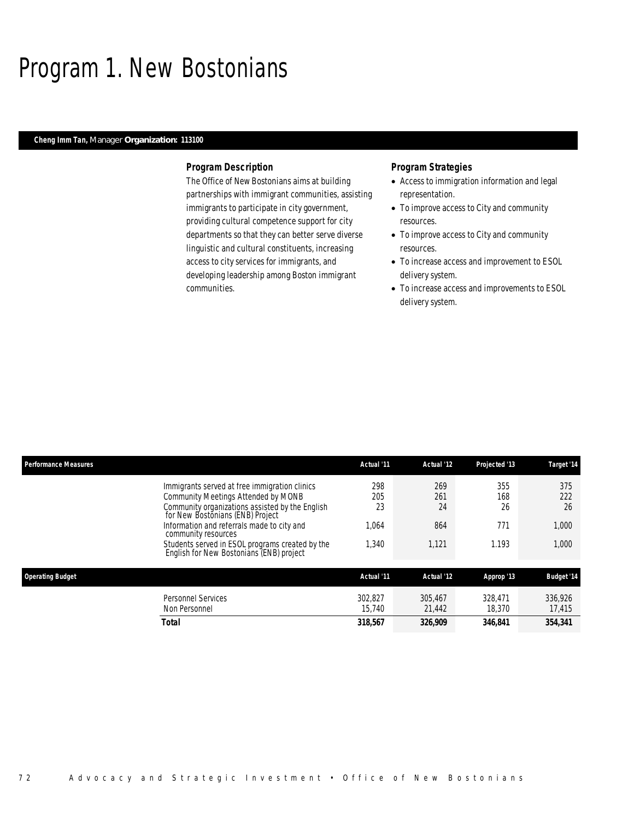## Program 1. New Bostonians

### *Cheng Imm Tan, Manager Organization: 113100*

### *Program Description*

The Office of New Bostonians aims at building partnerships with immigrant communities, assisting immigrants to participate in city government, providing cultural competence support for city departments so that they can better serve diverse linguistic and cultural constituents, increasing access to city services for immigrants, and developing leadership among Boston immigrant communities.

### *Program Strategies*

- Access to immigration information and legal representation.
- To improve access to City and community resources.
- To improve access to City and community resources.
- To increase access and improvement to ESOL delivery system.
- To increase access and improvements to ESOL delivery system.

| <b>Performance Measures</b>                                                                 | Actual '11        | Actual '12        | Projected '13     | Target '14        |
|---------------------------------------------------------------------------------------------|-------------------|-------------------|-------------------|-------------------|
| Immigrants served at free immigration clinics                                               | 298               | 269               | 355               | 375               |
| Community Meetings Attended by MONB                                                         | 205               | 261               | 168               | 222               |
| Community organizations assisted by the English<br>for New Bostonians (ENB) Project         | 23                | 24                | 26                | 26                |
| Information and referrals made to city and<br>community resources                           | 1.064             | 864               | 771               | 1,000             |
| Students served in ESOL programs created by the<br>English for New Bostonians (ENB) project | ,340              | 1,121             | 1.193             | 1,000             |
| <b>Operating Budget</b>                                                                     | Actual '11        | Actual '12        | Approp '13        | <b>Budget '14</b> |
| <b>Personnel Services</b><br>Non Personnel                                                  | 302.827<br>15,740 | 305.467<br>21.442 | 328.471<br>18,370 | 336.926<br>17,415 |
| <b>Total</b>                                                                                | 318.567           | 326,909           | 346.841           | 354,341           |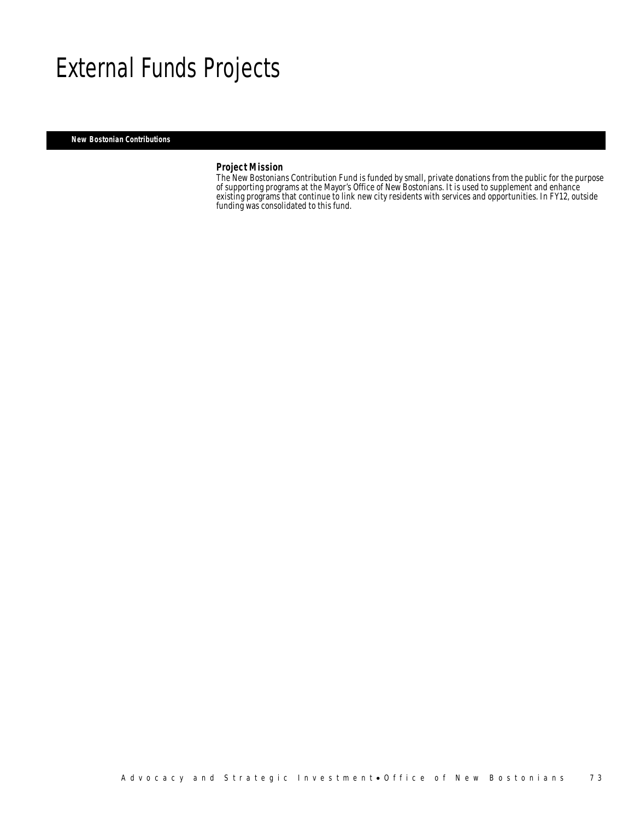## External Funds Projects

*New Bostonian Contributions* 

## *Project Mission*

The New Bostonians Contribution Fund is funded by small, private donations from the public for the purpose of supporting programs at the Mayor's Office of New Bostonians. It is used to supplement and enhance existing programs that continue to link new city residents with services and opportunities. In FY12, outside funding was consolidated to this fund.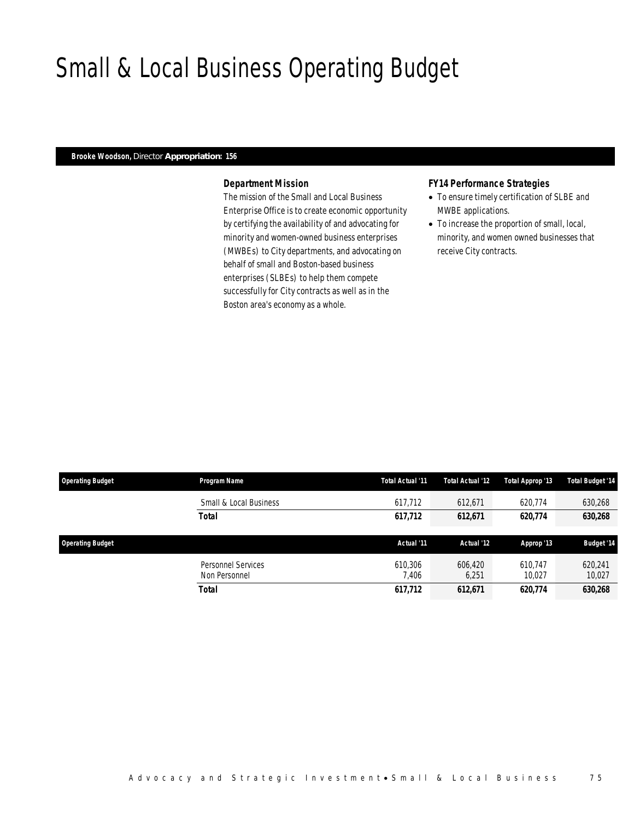## Small & Local Business Operating Budget

#### *Brooke Woodson, Director Appropriation: 156*

## *Department Mission*

The mission of the Small and Local Business Enterprise Office is to create economic opportunity by certifying the availability of and advocating for minority and women-owned business enterprises (MWBEs) to City departments, and advocating on behalf of small and Boston-based business enterprises (SLBEs) to help them compete successfully for City contracts as well as in the Boston area's economy as a whole.

### *FY14 Performance Strategies*

- To ensure timely certification of SLBE and MWBE applications.
- To increase the proportion of small, local, minority, and women owned businesses that receive City contracts.

| <b>Operating Budget</b> | Program Name                        | Total Actual '11 | Total Actual '12 | Total Approp '13  | Total Budget '14  |
|-------------------------|-------------------------------------|------------------|------------------|-------------------|-------------------|
|                         | Small & Local Business              | 617.712          | 612.671          | 620.774           | 630,268           |
|                         | <b>Total</b>                        | 617,712          | 612,671          | 620,774           | 630,268           |
| <b>Operating Budget</b> |                                     | Actual '11       | Actual '12       | Approp '13        | <b>Budget '14</b> |
|                         | Personnel Services<br>Non Personnel | 610,306<br>406.' | 606.420<br>6.251 | 610.747<br>10.027 | 620,241<br>10,027 |
|                         | <b>Total</b>                        | 617,712          | 612,671          | 620,774           | 630,268           |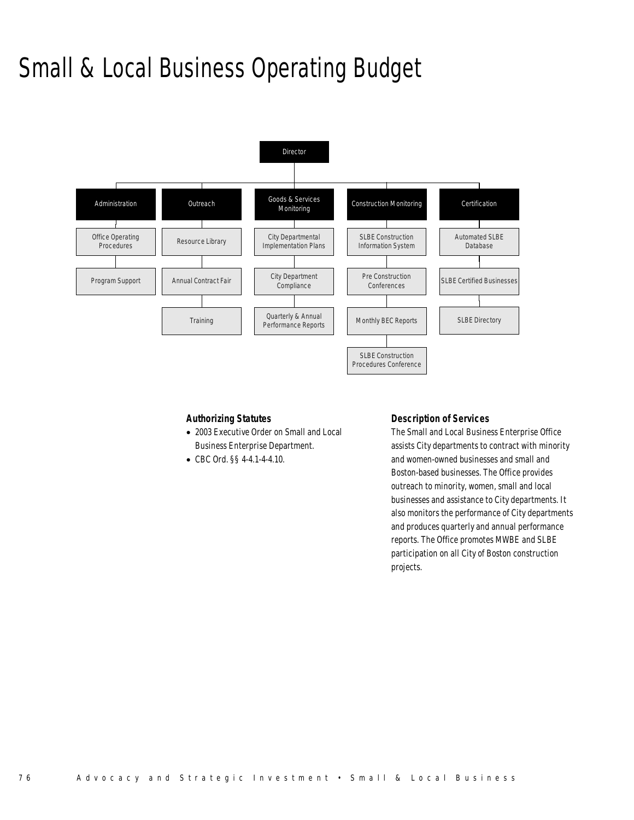# Small & Local Business Operating Budget



## *Authorizing Statutes*

- 2003 Executive Order on Small and Local Business Enterprise Department.
- CBC Ord. §§ 4-4.1-4-4.10.

### *Description of Services*

The Small and Local Business Enterprise Office assists City departments to contract with minority and women-owned businesses and small and Boston-based businesses. The Office provides outreach to minority, women, small and local businesses and assistance to City departments. It also monitors the performance of City departments and produces quarterly and annual performance reports. The Office promotes MWBE and SLBE participation on all City of Boston construction projects.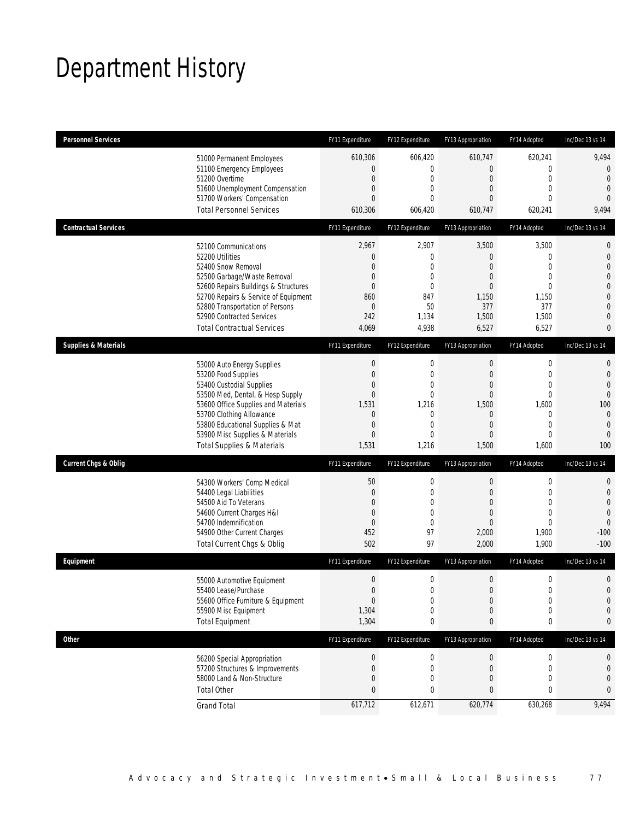# Department History

| <b>Personnel Services</b>       |                                                                                                                                                                                                                                                                                                      | FY11 Expenditure                                                                               | FY12 Expenditure                                                                                         | FY13 Appropriation                                                                    | FY14 Adopted                                                                                                               | Inc/Dec 13 vs 14                                                                                                                     |
|---------------------------------|------------------------------------------------------------------------------------------------------------------------------------------------------------------------------------------------------------------------------------------------------------------------------------------------------|------------------------------------------------------------------------------------------------|----------------------------------------------------------------------------------------------------------|---------------------------------------------------------------------------------------|----------------------------------------------------------------------------------------------------------------------------|--------------------------------------------------------------------------------------------------------------------------------------|
|                                 | 51000 Permanent Employees<br>51100 Emergency Employees<br>51200 Overtime<br>51600 Unemployment Compensation<br>51700 Workers' Compensation<br><b>Total Personnel Services</b>                                                                                                                        | 610,306<br>0<br>$\mathbf 0$<br>0<br>$\overline{0}$                                             | 606,420<br>$\overline{0}$<br>$\mathbf 0$<br>0<br>$\theta$                                                | 610,747<br>$\overline{0}$<br>$\mathbf 0$<br>0<br>0                                    | 620,241<br>$\mathbf{0}$<br>$\mathbf 0$<br>$\mathbf{0}$<br>$\mathbf{0}$                                                     | 9,494<br>$\overline{0}$<br>$\mathbf{0}$<br>$\mathbf{0}$<br>$\theta$                                                                  |
|                                 |                                                                                                                                                                                                                                                                                                      | 610,306                                                                                        | 606,420                                                                                                  | 610,747                                                                               | 620,241                                                                                                                    | 9,494                                                                                                                                |
| <b>Contractual Services</b>     |                                                                                                                                                                                                                                                                                                      | FY11 Expenditure                                                                               | FY12 Expenditure                                                                                         | FY13 Appropriation                                                                    | FY14 Adopted                                                                                                               | Inc/Dec 13 vs 14                                                                                                                     |
|                                 | 52100 Communications<br>52200 Utilities<br>52400 Snow Removal<br>52500 Garbage/Waste Removal<br>52600 Repairs Buildings & Structures<br>52700 Repairs & Service of Equipment<br>52800 Transportation of Persons<br>52900 Contracted Services<br><b>Total Contractual Services</b>                    | 2,967<br>0<br>0<br>0<br>0<br>860<br>$\mathbf 0$<br>242<br>4,069                                | 2,907<br>$\mathbf 0$<br>0<br>$\mathbf 0$<br>0<br>847<br>50<br>1,134<br>4,938                             | 3,500<br>0<br>0<br>0<br>0<br>1,150<br>377<br>1,500<br>6,527                           | 3,500<br>$\mathbf 0$<br>$\mathbf{0}$<br>$\mathbf{0}$<br>$\mathbf 0$<br>1,150<br>377<br>1,500<br>6,527                      | $\mathbf 0$<br>$\mathbf 0$<br>$\overline{0}$<br>$\mathbf{0}$<br>$\mathbf 0$<br>$\overline{0}$<br>$\mathbf{0}$<br>$\overline{0}$<br>0 |
| <b>Supplies &amp; Materials</b> |                                                                                                                                                                                                                                                                                                      | FY11 Expenditure                                                                               | FY12 Expenditure                                                                                         | FY13 Appropriation                                                                    | FY14 Adopted                                                                                                               | Inc/Dec 13 vs 14                                                                                                                     |
|                                 | 53000 Auto Energy Supplies<br>53200 Food Supplies<br>53400 Custodial Supplies<br>53500 Med, Dental, & Hosp Supply<br>53600 Office Supplies and Materials<br>53700 Clothing Allowance<br>53800 Educational Supplies & Mat<br>53900 Misc Supplies & Materials<br><b>Total Supplies &amp; Materials</b> | $\boldsymbol{0}$<br>$\mathbf 0$<br>0<br>$\mathbf 0$<br>1,531<br>0<br>$\mathbf 0$<br>0<br>1,531 | $\boldsymbol{0}$<br>$\mathbf 0$<br>0<br>$\mathbf 0$<br>1,216<br>0<br>$\overline{0}$<br>$\Omega$<br>1,216 | 0<br>$\mathbf 0$<br>0<br>$\overline{0}$<br>1,500<br>0<br>$\overline{0}$<br>0<br>1,500 | $\mathbf 0$<br>$\mathbf 0$<br>$\mathbf 0$<br>$\mathbf{0}$<br>1,600<br>$\mathbf 0$<br>$\mathbf{0}$<br>$\mathbf{0}$<br>1,600 | $\mathbf{0}$<br>$\mathbf 0$<br>$\overline{0}$<br>$\overline{0}$<br>100<br>$\mathbf{0}$<br>$\mathbf{0}$<br>$\mathbf{0}$<br>100        |
| <b>Current Chgs &amp; Oblig</b> |                                                                                                                                                                                                                                                                                                      | FY11 Expenditure                                                                               | FY12 Expenditure                                                                                         | FY13 Appropriation                                                                    | FY14 Adopted                                                                                                               | Inc/Dec 13 vs 14                                                                                                                     |
|                                 | 54300 Workers' Comp Medical<br>54400 Legal Liabilities<br>54500 Aid To Veterans<br>54600 Current Charges H&I<br>54700 Indemnification<br>54900 Other Current Charges<br>Total Current Chgs & Oblig                                                                                                   | 50<br>$\mathbf 0$<br>0<br>0<br>$\mathbf 0$<br>452<br>502                                       | $\boldsymbol{0}$<br>$\mathbf 0$<br>0<br>$\overline{0}$<br>$\overline{0}$<br>97<br>97                     | 0<br>$\mathbf 0$<br>0<br>$\mathbf 0$<br>$\overline{0}$<br>2,000<br>2,000              | $\boldsymbol{0}$<br>$\mathbf 0$<br>$\mathbf{0}$<br>$\mathbf{0}$<br>$\mathbf{0}$<br>1,900<br>1,900                          | $\mathbf{0}$<br>$\mathbf 0$<br>$\overline{0}$<br>$\overline{0}$<br>$\theta$<br>$-100$<br>$-100$                                      |
| Equipment                       |                                                                                                                                                                                                                                                                                                      | FY11 Expenditure                                                                               | FY12 Expenditure                                                                                         | FY13 Appropriation                                                                    | FY14 Adopted                                                                                                               | Inc/Dec 13 vs 14                                                                                                                     |
|                                 | 55000 Automotive Equipment<br>55400 Lease/Purchase<br>55600 Office Furniture & Equipment<br>55900 Misc Equipment<br><b>Total Equipment</b>                                                                                                                                                           | $\mathbf 0$<br>$\overline{0}$<br>$\boldsymbol{0}$<br>1,304<br>1,304                            | $\mathbf 0$<br>$\Omega$<br>0<br>$\mathbf 0$<br>0                                                         | $\mathbf 0$<br>0<br>$\boldsymbol{0}$<br>$\mathbf 0$<br>0                              | $\mathbf 0$<br>$\mathbf{0}$<br>$\boldsymbol{0}$<br>$\mathbf 0$<br>0                                                        | $\mathbf 0$<br>$\overline{0}$<br>$\mathbf 0$<br>$\mathbf 0$<br>0                                                                     |
| <b>Other</b>                    |                                                                                                                                                                                                                                                                                                      | FY11 Expenditure                                                                               | FY12 Expenditure                                                                                         | FY13 Appropriation                                                                    | FY14 Adopted                                                                                                               | Inc/Dec 13 vs 14                                                                                                                     |
|                                 | 56200 Special Appropriation<br>57200 Structures & Improvements<br>58000 Land & Non-Structure<br><b>Total Other</b>                                                                                                                                                                                   | $\boldsymbol{0}$<br>0<br>$\mathbf 0$<br>0                                                      | 0<br>$\mathbf 0$<br>$\mathbf 0$<br>0                                                                     | $\boldsymbol{0}$<br>0<br>$\mathbf 0$<br>0                                             | $\boldsymbol{0}$<br>$\mathbf 0$<br>$\mathbf{0}$<br>0                                                                       | 0<br>$\mathbf 0$<br>$\mathbf 0$<br>0                                                                                                 |
|                                 | <b>Grand Total</b>                                                                                                                                                                                                                                                                                   | 617,712                                                                                        | 612,671                                                                                                  | 620,774                                                                               | 630,268                                                                                                                    | 9,494                                                                                                                                |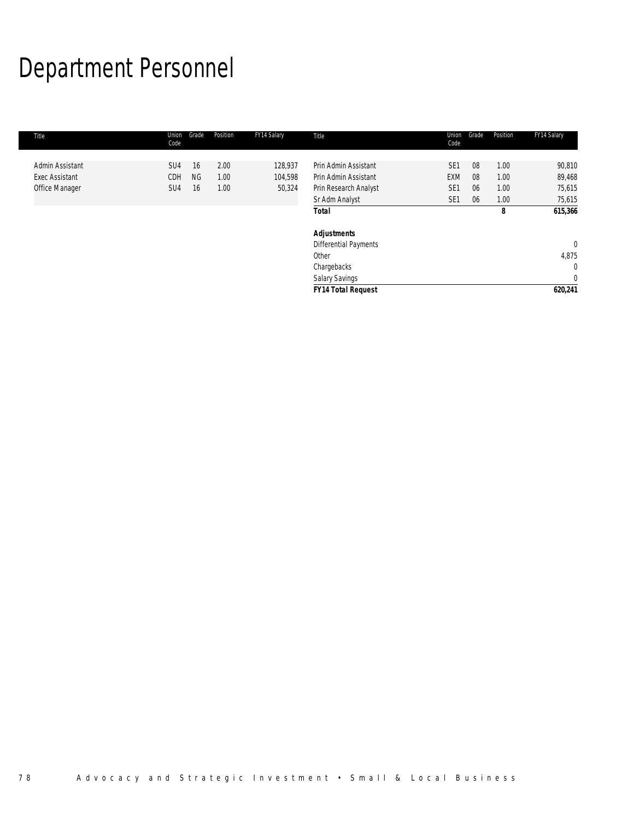# Department Personnel

| Title                                                      | Union<br>Code                 | Grade                 | Position             | FY14 Salary                  | Title                                                                 | Union<br>Code                             | Grade          | Position             | FY14 Salary                |
|------------------------------------------------------------|-------------------------------|-----------------------|----------------------|------------------------------|-----------------------------------------------------------------------|-------------------------------------------|----------------|----------------------|----------------------------|
| Admin Assistant<br><b>Exec Assistant</b><br>Office Manager | SU <sub>4</sub><br>CDH<br>SU4 | 16<br><b>NG</b><br>16 | 2.00<br>1.00<br>1.00 | 128,937<br>104,598<br>50,324 | Prin Admin Assistant<br>Prin Admin Assistant<br>Prin Research Analyst | SE <sub>1</sub><br>EXM<br>SE <sub>1</sub> | 08<br>08<br>06 | 1.00<br>1.00<br>1.00 | 90,810<br>89,468<br>75,615 |
|                                                            |                               |                       |                      |                              | Sr Adm Analyst                                                        | SE <sub>1</sub>                           | 06             | 1.00                 | 75,615                     |
|                                                            |                               |                       |                      |                              | <b>Total</b>                                                          |                                           |                | 8                    | 615,366                    |
|                                                            |                               |                       |                      |                              | <b>Adjustments</b>                                                    |                                           |                |                      |                            |
|                                                            |                               |                       |                      |                              | <b>Differential Payments</b>                                          |                                           |                |                      | $\overline{0}$             |
|                                                            |                               |                       |                      |                              | Other                                                                 |                                           |                |                      | 4,875                      |
|                                                            |                               |                       |                      |                              | Chargebacks                                                           |                                           |                |                      | $\mathbf 0$                |
|                                                            |                               |                       |                      |                              | <b>Salary Savings</b>                                                 |                                           |                |                      | $\mathbf 0$                |
|                                                            |                               |                       |                      |                              | <b>FY14 Total Request</b>                                             |                                           |                |                      | 620,241                    |